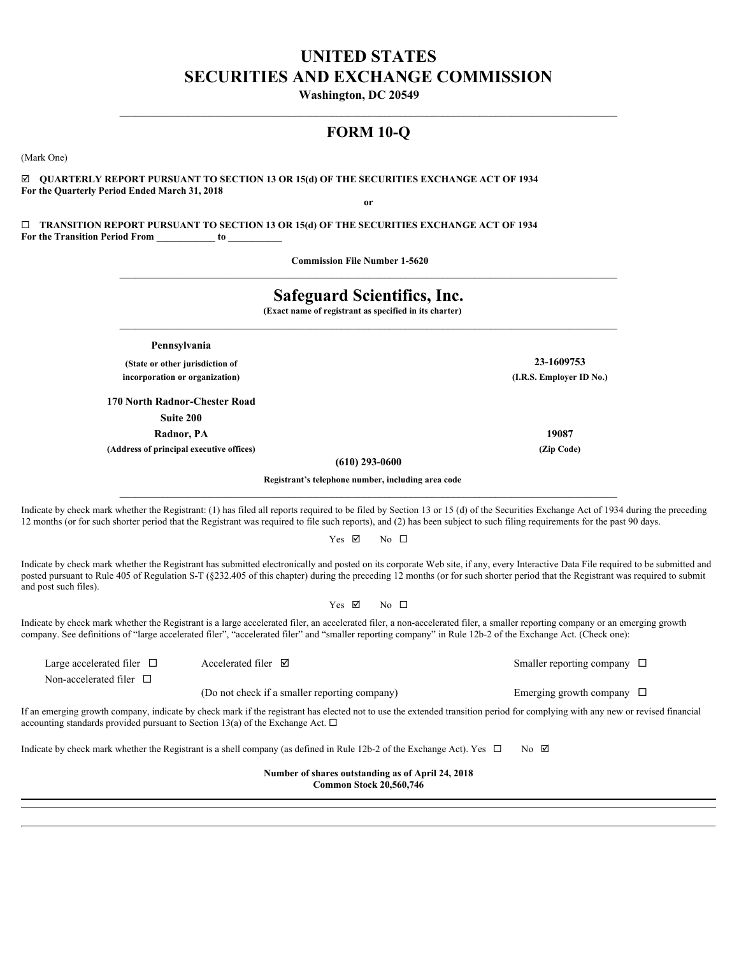# **UNITED STATES SECURITIES AND EXCHANGE COMMISSION**

**Washington, DC 20549** 

# **FORM 10-Q**

 $\mathcal{L}_\mathcal{L} = \mathcal{L}_\mathcal{L}$ 

(Mark One)

þ **QUARTERLY REPORT PURSUANT TO SECTION 13 OR 15(d) OF THE SECURITIES EXCHANGE ACT OF 1934 For the Quarterly Period Ended March 31, 2018 or**

¨ **TRANSITION REPORT PURSUANT TO SECTION 13 OR 15(d) OF THE SECURITIES EXCHANGE ACT OF 1934 For the Transition Period From \_\_\_\_\_\_\_\_\_\_\_\_ to \_\_\_\_\_\_\_\_\_\_\_**

**Commission File Number 1-5620** 

| <b>Safeguard Scientifics, Inc.</b><br>(Exact name of registrant as specified in its charter) |                                                                                     |                                                                                                                             |                                                                                                                                                                                                                                                                                                                                                                                                                                                                                                                                                     |  |  |  |  |  |  |
|----------------------------------------------------------------------------------------------|-------------------------------------------------------------------------------------|-----------------------------------------------------------------------------------------------------------------------------|-----------------------------------------------------------------------------------------------------------------------------------------------------------------------------------------------------------------------------------------------------------------------------------------------------------------------------------------------------------------------------------------------------------------------------------------------------------------------------------------------------------------------------------------------------|--|--|--|--|--|--|
|                                                                                              | Pennsylvania                                                                        |                                                                                                                             |                                                                                                                                                                                                                                                                                                                                                                                                                                                                                                                                                     |  |  |  |  |  |  |
|                                                                                              | (State or other jurisdiction of                                                     |                                                                                                                             | 23-1609753                                                                                                                                                                                                                                                                                                                                                                                                                                                                                                                                          |  |  |  |  |  |  |
|                                                                                              | incorporation or organization)                                                      |                                                                                                                             | (I.R.S. Employer ID No.)                                                                                                                                                                                                                                                                                                                                                                                                                                                                                                                            |  |  |  |  |  |  |
|                                                                                              | 170 North Radnor-Chester Road                                                       |                                                                                                                             |                                                                                                                                                                                                                                                                                                                                                                                                                                                                                                                                                     |  |  |  |  |  |  |
|                                                                                              | Suite 200                                                                           |                                                                                                                             |                                                                                                                                                                                                                                                                                                                                                                                                                                                                                                                                                     |  |  |  |  |  |  |
|                                                                                              | Radnor, PA                                                                          |                                                                                                                             | 19087                                                                                                                                                                                                                                                                                                                                                                                                                                                                                                                                               |  |  |  |  |  |  |
|                                                                                              | (Address of principal executive offices)                                            | $(610)$ 293-0600                                                                                                            | (Zip Code)                                                                                                                                                                                                                                                                                                                                                                                                                                                                                                                                          |  |  |  |  |  |  |
|                                                                                              |                                                                                     | Registrant's telephone number, including area code                                                                          |                                                                                                                                                                                                                                                                                                                                                                                                                                                                                                                                                     |  |  |  |  |  |  |
| and post such files).                                                                        |                                                                                     | Yes $\nabla$<br>No $\Box$                                                                                                   | Indicate by check mark whether the Registrant has submitted electronically and posted on its corporate Web site, if any, every Interactive Data File required to be submitted and<br>posted pursuant to Rule 405 of Regulation S-T (§232.405 of this chapter) during the preceding 12 months (or for such shorter period that the Registrant was required to submit<br>Indicate by check mark whether the Registrant is a large accelerated filer, an accelerated filer, a non-accelerated filer, a smaller reporting company or an emerging growth |  |  |  |  |  |  |
|                                                                                              |                                                                                     |                                                                                                                             | company. See definitions of "large accelerated filer", "accelerated filer" and "smaller reporting company" in Rule 12b-2 of the Exchange Act. (Check one):                                                                                                                                                                                                                                                                                                                                                                                          |  |  |  |  |  |  |
| Large accelerated filer $\Box$                                                               | Accelerated filer $\boxtimes$                                                       |                                                                                                                             | Smaller reporting company $\Box$                                                                                                                                                                                                                                                                                                                                                                                                                                                                                                                    |  |  |  |  |  |  |
| Non-accelerated filer $\Box$                                                                 |                                                                                     |                                                                                                                             |                                                                                                                                                                                                                                                                                                                                                                                                                                                                                                                                                     |  |  |  |  |  |  |
|                                                                                              |                                                                                     | (Do not check if a smaller reporting company)                                                                               | Emerging growth company $\Box$                                                                                                                                                                                                                                                                                                                                                                                                                                                                                                                      |  |  |  |  |  |  |
|                                                                                              | accounting standards provided pursuant to Section 13(a) of the Exchange Act. $\Box$ |                                                                                                                             | If an emerging growth company, indicate by check mark if the registrant has elected not to use the extended transition period for complying with any new or revised financial                                                                                                                                                                                                                                                                                                                                                                       |  |  |  |  |  |  |
|                                                                                              |                                                                                     | Indicate by check mark whether the Registrant is a shell company (as defined in Rule 12b-2 of the Exchange Act). Yes $\Box$ | $No$ $\boxtimes$                                                                                                                                                                                                                                                                                                                                                                                                                                                                                                                                    |  |  |  |  |  |  |
|                                                                                              |                                                                                     | Number of shares outstanding as of April 24, 2018                                                                           |                                                                                                                                                                                                                                                                                                                                                                                                                                                                                                                                                     |  |  |  |  |  |  |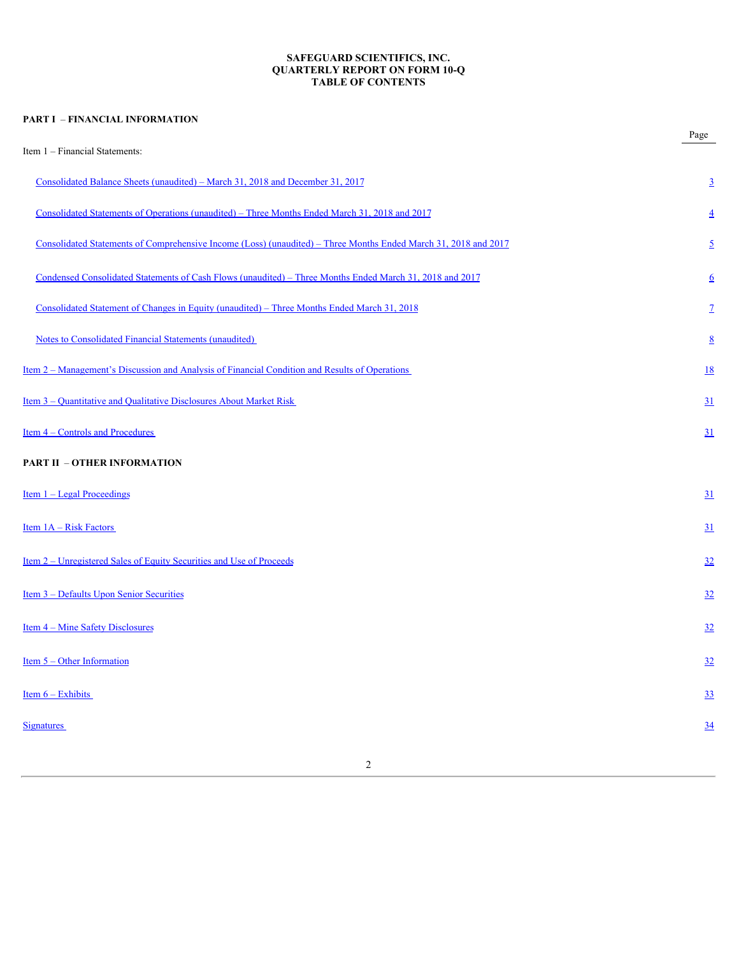# **SAFEGUARD SCIENTIFICS, INC. QUARTERLY REPORT ON FORM 10-Q TABLE OF CONTENTS**

| <b>PART I - FINANCIAL INFORMATION</b>                                                                           |                  |
|-----------------------------------------------------------------------------------------------------------------|------------------|
| Item 1 - Financial Statements:                                                                                  | Page             |
| Consolidated Balance Sheets (unaudited) – March 31, 2018 and December 31, 2017                                  | $\overline{3}$   |
| Consolidated Statements of Operations (unaudited) – Three Months Ended March 31, 2018 and 2017                  | $\overline{4}$   |
| Consolidated Statements of Comprehensive Income (Loss) (unaudited) – Three Months Ended March 31, 2018 and 2017 | $\overline{2}$   |
| Condensed Consolidated Statements of Cash Flows (unaudited) - Three Months Ended March 31, 2018 and 2017        | $6\overline{6}$  |
| Consolidated Statement of Changes in Equity (unaudited) - Three Months Ended March 31, 2018                     | $\mathbf{Z}$     |
| <b>Notes to Consolidated Financial Statements (unaudited)</b>                                                   | $8\overline{8}$  |
| <u>Item 2 – Management's Discussion and Analysis of Financial Condition and Results of Operations</u>           | 18               |
| Item 3 – Quantitative and Qualitative Disclosures About Market Risk                                             | 31               |
| Item 4 - Controls and Procedures                                                                                | 31               |
| <b>PART II - OTHER INFORMATION</b>                                                                              |                  |
| Item 1 - Legal Proceedings                                                                                      | 31               |
| Item 1A - Risk Factors                                                                                          | $\underline{31}$ |
| <u>Item 2 – Unregistered Sales of Equity Securities and Use of Proceeds</u>                                     | 32               |
| Item 3 - Defaults Upon Senior Securities                                                                        | 32               |
| <u>Item 4 – Mine Safety Disclosures</u>                                                                         | 32               |
| Item $5 -$ Other Information                                                                                    | 32               |
| Item $6 -$ Exhibits                                                                                             | 33               |
| <b>Signatures</b>                                                                                               | $\underline{34}$ |
|                                                                                                                 |                  |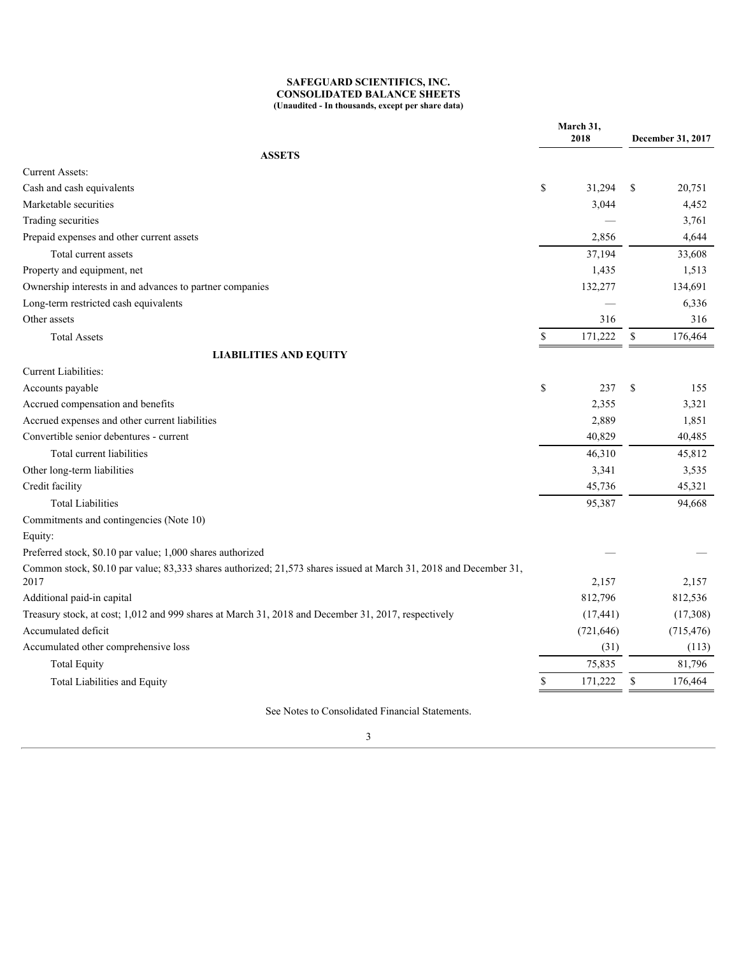# **SAFEGUARD SCIENTIFICS, INC. CONSOLIDATED BALANCE SHEETS (Unaudited - In thousands, except per share data)**

<span id="page-2-0"></span>

|                                                                                                                   | March 31,<br>2018 |                          | December 31, 2017 |  |
|-------------------------------------------------------------------------------------------------------------------|-------------------|--------------------------|-------------------|--|
| <b>ASSETS</b>                                                                                                     |                   |                          |                   |  |
| <b>Current Assets:</b>                                                                                            |                   |                          |                   |  |
| Cash and cash equivalents                                                                                         | <sup>\$</sup>     | 31,294 \$                | 20,751            |  |
| Marketable securities                                                                                             |                   | 3,044                    | 4,452             |  |
| Trading securities                                                                                                |                   | $\overline{\phantom{m}}$ | 3,761             |  |
| Prepaid expenses and other current assets                                                                         |                   | 2,856                    | 4,644             |  |
| Total current assets                                                                                              |                   | 37,194                   | 33,608            |  |
| Property and equipment, net                                                                                       |                   | 1,435                    | 1,513             |  |
| Ownership interests in and advances to partner companies                                                          |                   | 132,277                  | 134,691           |  |
| Long-term restricted cash equivalents                                                                             |                   | $\overline{\phantom{m}}$ | 6,336             |  |
| Other assets                                                                                                      |                   | 316                      | 316               |  |
| <b>Total Assets</b>                                                                                               | -S                | $171,222$ \$             | 176,464           |  |
| <b>LIABILITIES AND EQUITY</b>                                                                                     |                   |                          |                   |  |
| Current Liabilities:                                                                                              |                   |                          |                   |  |
| Accounts payable                                                                                                  | $\mathbb S$       | 237 \$                   | 155               |  |
| Accrued compensation and benefits                                                                                 |                   | 2,355                    | 3,321             |  |
| Accrued expenses and other current liabilities                                                                    |                   | 2,889                    | 1,851             |  |
| Convertible senior debentures - current                                                                           |                   | 40,829                   | 40,485            |  |
| Total current liabilities                                                                                         |                   | 46,310                   | 45,812            |  |
| Other long-term liabilities                                                                                       |                   | 3,341                    | 3,535             |  |
| Credit facility                                                                                                   |                   | 45,736                   | 45,321            |  |
| <b>Total Liabilities</b>                                                                                          |                   | 95,387                   | 94,668            |  |
| Commitments and contingencies (Note 10)                                                                           |                   |                          |                   |  |
| Equity:                                                                                                           |                   |                          |                   |  |
| Preferred stock, \$0.10 par value; 1,000 shares authorized                                                        |                   |                          |                   |  |
| Common stock, \$0.10 par value; 83,333 shares authorized; 21,573 shares issued at March 31, 2018 and December 31, |                   |                          |                   |  |
| 2017                                                                                                              |                   | 2,157                    | 2,157             |  |
| Additional paid-in capital                                                                                        |                   | 812,796                  | 812,536           |  |
| Treasury stock, at cost; 1,012 and 999 shares at March 31, 2018 and December 31, 2017, respectively               |                   | (17, 441)                | (17,308)          |  |
| Accumulated deficit                                                                                               |                   | (721, 646)               | (715, 476)        |  |
| Accumulated other comprehensive loss                                                                              |                   | (31)                     | (113)             |  |
| <b>Total Equity</b>                                                                                               |                   | 75,835                   | 81,796            |  |
| Total Liabilities and Equity                                                                                      |                   | $171,222$ \$             | 176,464           |  |

See Notes to Consolidated Financial Statements.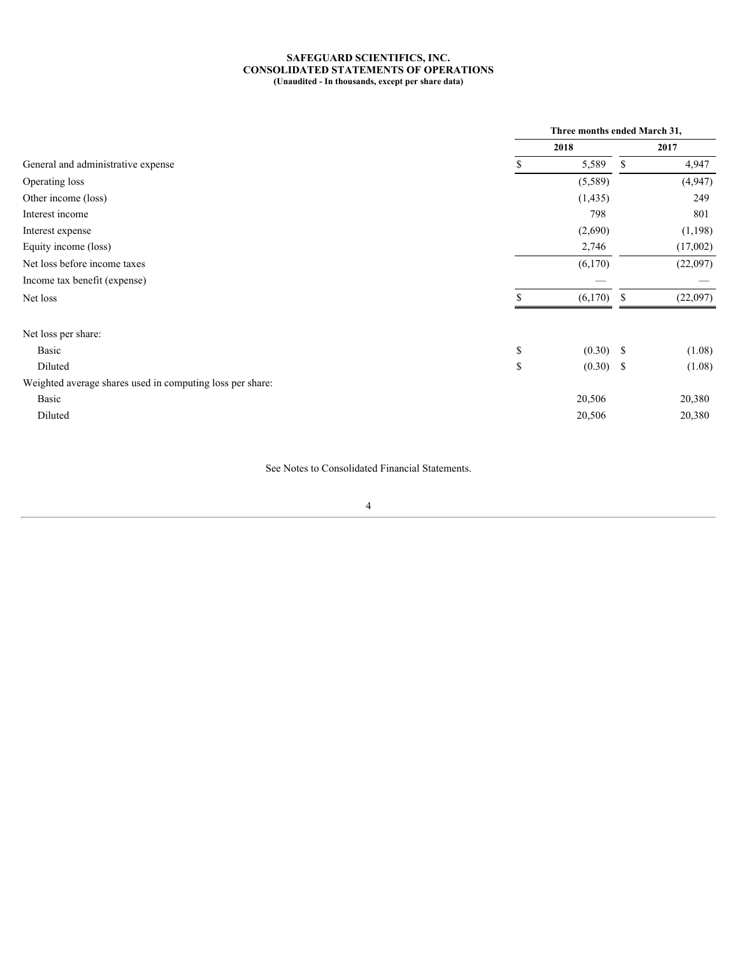### **SAFEGUARD SCIENTIFICS, INC. CONSOLIDATED STATEMENTS OF OPERATIONS (Unaudited - In thousands, except per share data)**

<span id="page-3-0"></span>

|                                                           |               | Three months ended March 31,    |    |                                 |  |  |
|-----------------------------------------------------------|---------------|---------------------------------|----|---------------------------------|--|--|
|                                                           |               | 2018                            |    | 2017                            |  |  |
| General and administrative expense                        |               | 5,589                           | -S | 4,947                           |  |  |
| Operating loss                                            |               | (5,589)                         |    | (4,947)                         |  |  |
| Other income (loss)                                       |               | (1, 435)                        |    | 249                             |  |  |
| Interest income                                           |               | 798                             |    | 801                             |  |  |
| Interest expense                                          |               | (2,690)                         |    | (1,198)                         |  |  |
| Equity income (loss)                                      |               | 2,746                           |    | (17,002)                        |  |  |
| Net loss before income taxes                              |               | (6,170)                         |    | (22,097)                        |  |  |
| Income tax benefit (expense)                              |               | $\hspace{0.1mm}-\hspace{0.1mm}$ |    | $\hspace{0.1mm}-\hspace{0.1mm}$ |  |  |
| Net loss                                                  |               | $(6,170)$ \$                    |    | (22,097)                        |  |  |
|                                                           |               |                                 |    |                                 |  |  |
| Net loss per share:                                       |               |                                 |    |                                 |  |  |
| Basic                                                     | \$            | $(0.30)$ \$                     |    | (1.08)                          |  |  |
| Diluted                                                   | <sup>\$</sup> | $(0.30)$ \$                     |    | (1.08)                          |  |  |
| Weighted average shares used in computing loss per share: |               |                                 |    |                                 |  |  |
| Basic                                                     |               | 20,506                          |    | 20,380                          |  |  |
| Diluted                                                   |               | 20,506                          |    | 20,380                          |  |  |
|                                                           |               |                                 |    |                                 |  |  |

See Notes to Consolidated Financial Statements.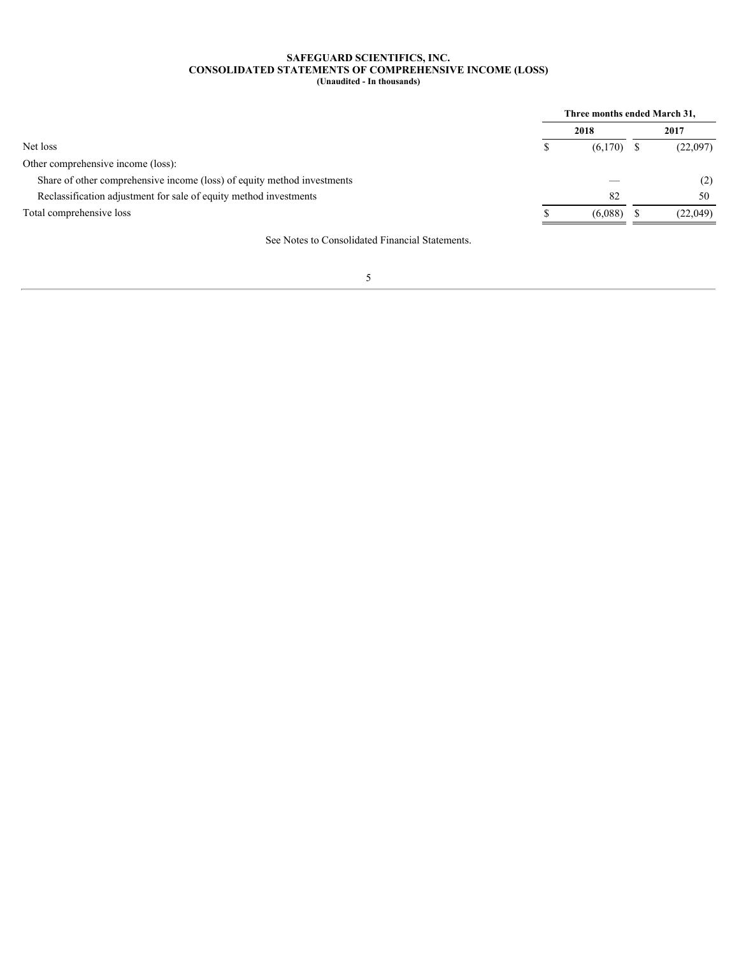### **SAFEGUARD SCIENTIFICS, INC. CONSOLIDATED STATEMENTS OF COMPREHENSIVE INCOME (LOSS) (Unaudited - In thousands)**

<span id="page-4-0"></span>

|                                                                         |  | Three months ended March 31, |  |          |  |
|-------------------------------------------------------------------------|--|------------------------------|--|----------|--|
|                                                                         |  | 2018                         |  | 2017     |  |
| Net loss                                                                |  | $(6,170)$ \$                 |  | (22,097) |  |
| Other comprehensive income (loss):                                      |  |                              |  |          |  |
| Share of other comprehensive income (loss) of equity method investments |  | $\overline{\phantom{m}}$     |  |          |  |
| Reclassification adjustment for sale of equity method investments       |  | 82                           |  | 50       |  |
| Total comprehensive loss                                                |  | (6,088)                      |  | (22,049) |  |
|                                                                         |  |                              |  |          |  |

See Notes to Consolidated Financial Statements.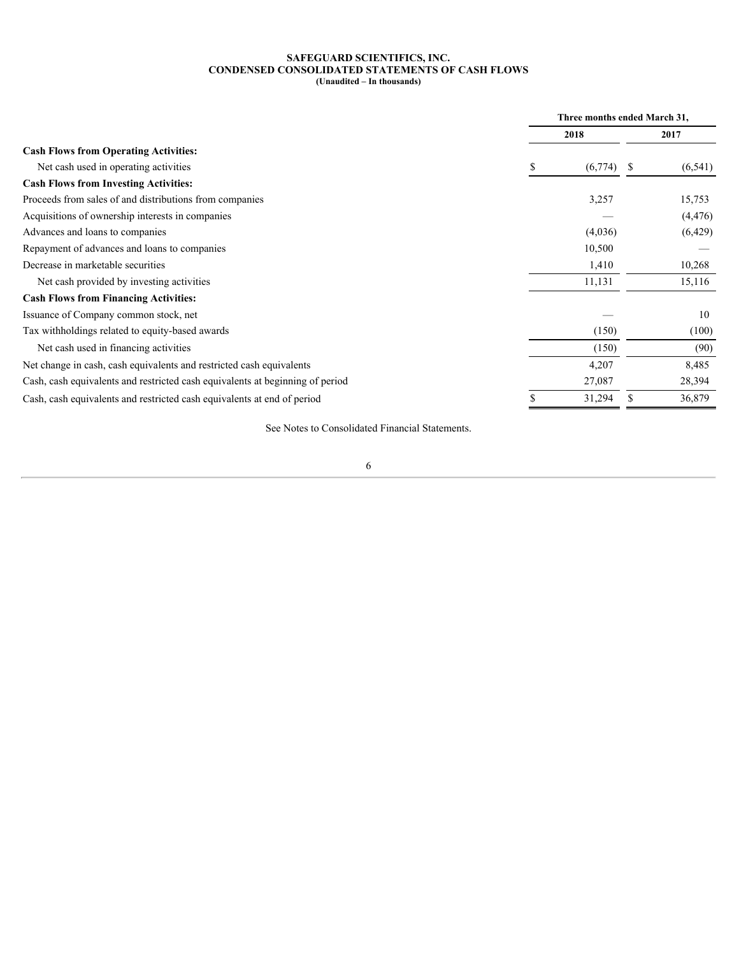### **SAFEGUARD SCIENTIFICS, INC. CONDENSED CONSOLIDATED STATEMENTS OF CASH FLOWS (Unaudited – In thousands)**

<span id="page-5-0"></span>

|                                                                               | Three months ended March 31, |                               |
|-------------------------------------------------------------------------------|------------------------------|-------------------------------|
|                                                                               | 2018                         | 2017                          |
| <b>Cash Flows from Operating Activities:</b>                                  |                              |                               |
| Net cash used in operating activities                                         | $(6,774)$ \$                 | (6, 541)                      |
| <b>Cash Flows from Investing Activities:</b>                                  |                              |                               |
| Proceeds from sales of and distributions from companies                       | 3,257                        | 15,753                        |
| Acquisitions of ownership interests in companies                              | $\hspace{0.05cm}$            | (4, 476)                      |
| Advances and loans to companies                                               | (4,036)                      | (6,429)                       |
| Repayment of advances and loans to companies                                  | 10,500                       | $\overbrace{\phantom{aaaaa}}$ |
| Decrease in marketable securities                                             | 1,410                        | 10,268                        |
| Net cash provided by investing activities                                     | 11,131                       | 15,116                        |
| <b>Cash Flows from Financing Activities:</b>                                  |                              |                               |
| Issuance of Company common stock, net                                         |                              | 10                            |
| Tax withholdings related to equity-based awards                               | (150)                        | (100)                         |
| Net cash used in financing activities                                         | (150)                        | (90)                          |
| Net change in cash, cash equivalents and restricted cash equivalents          | 4,207                        | 8,485                         |
| Cash, cash equivalents and restricted cash equivalents at beginning of period | 27,087                       | 28,394                        |
| Cash, cash equivalents and restricted cash equivalents at end of period       | 31,294                       | 36,879                        |
|                                                                               |                              |                               |

See Notes to Consolidated Financial Statements.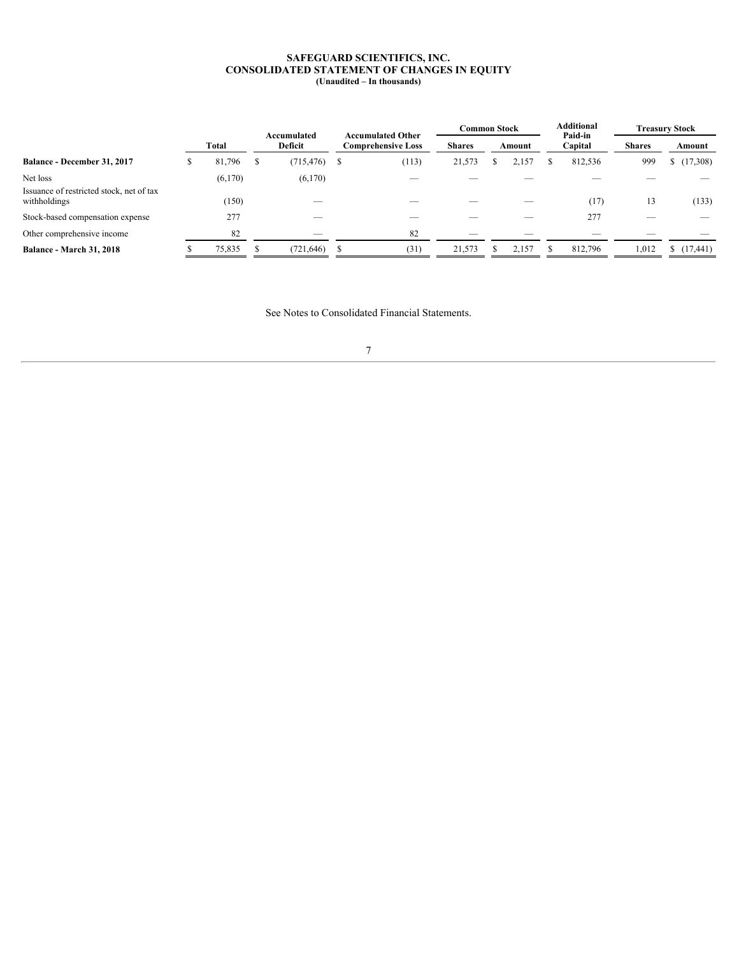### **SAFEGUARD SCIENTIFICS, INC. CONSOLIDATED STATEMENT OF CHANGES IN EQUITY (Unaudited – In thousands)**

<span id="page-6-0"></span>

|                                                          |         | Accumulated                   | <b>Accumulated Other</b><br><b>Comprehensive Loss</b> |                                 |                                 | <b>Common Stock</b><br>Amount |                          | Additional<br>Paid-in | <b>Treasury Stock</b>          |                   |
|----------------------------------------------------------|---------|-------------------------------|-------------------------------------------------------|---------------------------------|---------------------------------|-------------------------------|--------------------------|-----------------------|--------------------------------|-------------------|
|                                                          | Total   | Deficit                       |                                                       |                                 | <b>Shares</b>                   |                               |                          | Capital               | <b>Shares</b>                  | Amount            |
| Balance - December 31, 2017                              | .796    | $(715, 476)$ \$               |                                                       | (113)                           | 21,573                          |                               | 2,157                    | 812,536               | 999                            | (17,308)          |
| Net loss                                                 | (6,170) | (6,170)                       |                                                       | $\hspace{0.05cm}$               | $\overline{\phantom{a}}$        |                               | $\overline{\phantom{a}}$ |                       | $\overbrace{\hspace{25mm}}^{}$ | $\hspace{0.05cm}$ |
| Issuance of restricted stock, net of tax<br>withholdings | (150)   | $\hspace{0.05cm}$             |                                                       | $\hspace{0.1mm}-\hspace{0.1mm}$ | $\hspace{0.1mm}-\hspace{0.1mm}$ |                               | $\overline{\phantom{0}}$ | (17)                  | 13                             | (133)             |
| Stock-based compensation expense                         | 277     |                               |                                                       | $\overbrace{\hspace{25mm}}^{}$  | $\overline{\phantom{a}}$        |                               |                          | 277                   | $\overline{\phantom{a}}$       | $\hspace{0.05cm}$ |
| Other comprehensive income                               | 82      | $\overbrace{\phantom{12332}}$ |                                                       | 82                              | $\overline{\phantom{a}}$        |                               | $\overline{\phantom{a}}$ | $\hspace{0.05cm}$     |                                | $\hspace{0.05cm}$ |
| <b>Balance - March 31, 2018</b>                          | 75,835  | (721, 646)                    |                                                       | (31)                            | 21,573                          |                               | 2,157                    | 812,796               | 1,012                          | (17, 441)         |

See Notes to Consolidated Financial Statements.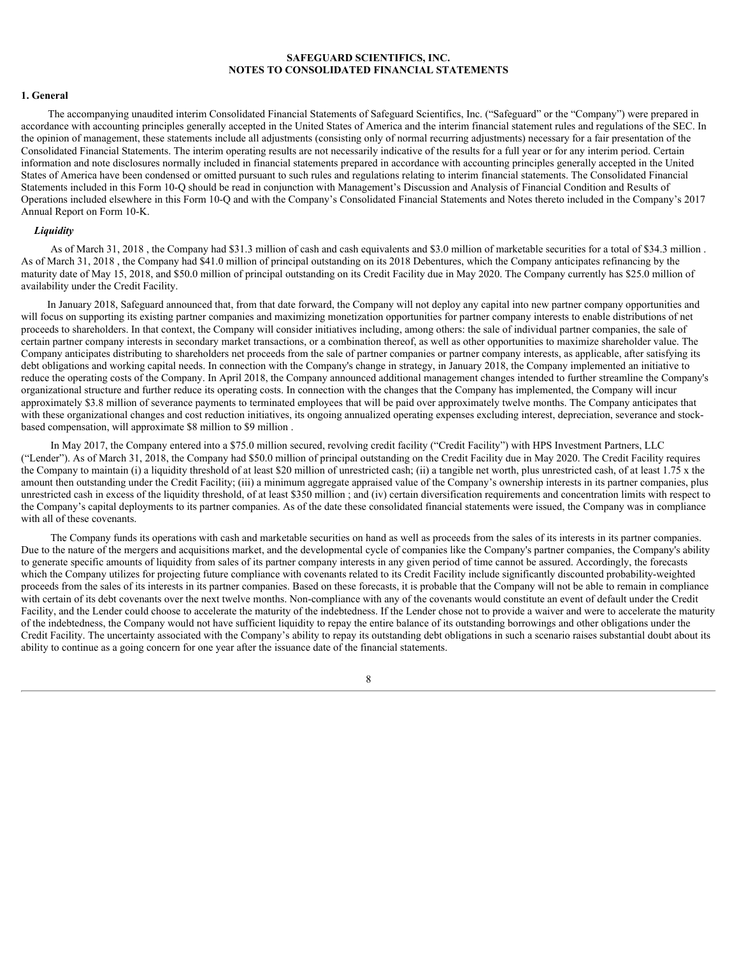#### <span id="page-7-0"></span>**1. General**

The accompanying unaudited interim Consolidated Financial Statements of Safeguard Scientifics, Inc. ("Safeguard" or the "Company") were prepared in accordance with accounting principles generally accepted in the United States of America and the interim financial statement rules and regulations of the SEC. In the opinion of management, these statements include all adjustments (consisting only of normal recurring adjustments) necessary for a fair presentation of the Consolidated Financial Statements. The interim operating results are not necessarily indicative of the results for a full year or for any interim period. Certain information and note disclosures normally included in financial statements prepared in accordance with accounting principles generally accepted in the United States of America have been condensed or omitted pursuant to such rules and regulations relating to interim financial statements. The Consolidated Financial Statements included in this Form 10-Q should be read in conjunction with Management's Discussion and Analysis of Financial Condition and Results of Operations included elsewhere in this Form 10-Q and with the Company's Consolidated Financial Statements and Notes thereto included in the Company's 2017 Annual Report on Form 10-K.

### *Liquidity*

As of March 31, 2018, the Company had \$31.3 million of cash and cash equivalents and \$3.0 million of marketable securities for a total of \$34.3 million. As of March 31, 2018 , the Company had \$41.0 million of principal outstanding on its 2018 Debentures, which the Company anticipates refinancing by the maturity date of May 15, 2018, and \$50.0 million of principal outstanding on its Credit Facility due in May 2020. The Company currently has \$25.0 million of availability under the Credit Facility.

In January 2018, Safeguard announced that, from that date forward, the Company will not deploy any capital into new partner company opportunities and will focus on supporting its existing partner companies and maximizing monetization opportunities for partner company interests to enable distributions of net proceeds to shareholders. In that context, the Company will consider initiatives including, among others: the sale of individual partner companies, the sale of certain partner company interests in secondary market transactions, or a combination thereof, as well as other opportunities to maximize shareholder value. The Company anticipates distributing to shareholders net proceeds from the sale of partner companies or partner company interests, as applicable, after satisfying its debt obligations and working capital needs. In connection with the Company's change in strategy, in January 2018, the Company implemented an initiative to reduce the operating costs of the Company. In April 2018, the Company announced additional management changes intended to further streamline the Company's organizational structure and further reduce its operating costs. In connection with the changes that the Company has implemented, the Company will incur approximately \$3.8 million of severance payments to terminated employees that will be paid over approximately twelve months. The Company anticipates that with these organizational changes and cost reduction initiatives, its ongoing annualized operating expenses excluding interest, depreciation, severance and stockbased compensation, will approximate \$8 million to \$9 million .

In May 2017, the Company entered into a \$75.0 million secured, revolving credit facility ("Credit Facility") with HPS Investment Partners, LLC ("Lender"). As of March 31, 2018, the Company had \$50.0 million of principal outstanding on the Credit Facility due in May 2020. The Credit Facility requires the Company to maintain (i) a liquidity threshold of at least \$20 million of unrestricted cash; (ii) a tangible net worth, plus unrestricted cash, of at least 1.75 x the amount then outstanding under the Credit Facility; (iii) a minimum aggregate appraised value of the Company's ownership interests in its partner companies, plus unrestricted cash in excess of the liquidity threshold, of at least \$350 million ; and (iv) certain diversification requirements and concentration limits with respect to the Company's capital deployments to its partner companies. As of the date these consolidated financial statements were issued, the Company was in compliance with all of these covenants.

The Company funds its operations with cash and marketable securities on hand as well as proceeds from the sales of its interests in its partner companies. Due to the nature of the mergers and acquisitions market, and the developmental cycle of companies like the Company's partner companies, the Company's ability to generate specific amounts of liquidity from sales of its partner company interests in any given period of time cannot be assured. Accordingly, the forecasts which the Company utilizes for projecting future compliance with covenants related to its Credit Facility include significantly discounted probability-weighted proceeds from the sales of its interests in its partner companies. Based on these forecasts, it is probable that the Company will not be able to remain in compliance with certain of its debt covenants over the next twelve months. Non-compliance with any of the covenants would constitute an event of default under the Credit Facility, and the Lender could choose to accelerate the maturity of the indebtedness. If the Lender chose not to provide a waiver and were to accelerate the maturity of the indebtedness, the Company would not have sufficient liquidity to repay the entire balance of its outstanding borrowings and other obligations under the Credit Facility. The uncertainty associated with the Company's ability to repay its outstanding debt obligations in such a scenario raises substantial doubt about its ability to continue as a going concern for one year after the issuance date of the financial statements.

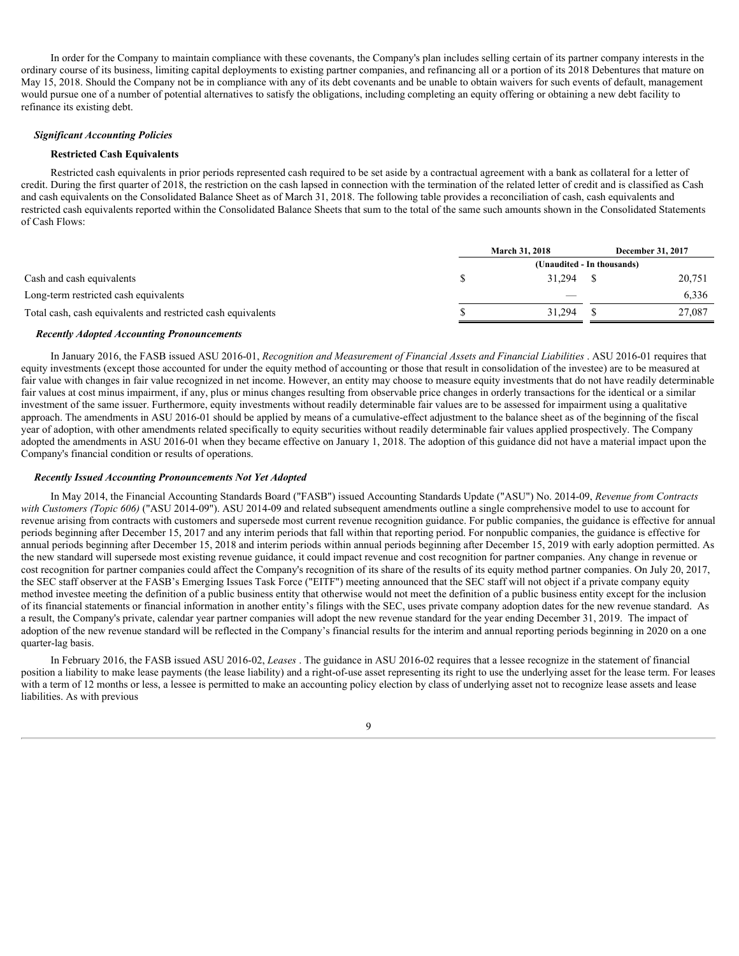In order for the Company to maintain compliance with these covenants, the Company's plan includes selling certain of its partner company interests in the ordinary course of its business, limiting capital deployments to existing partner companies, and refinancing all or a portion of its 2018 Debentures that mature on May 15, 2018. Should the Company not be in compliance with any of its debt covenants and be unable to obtain waivers for such events of default, management would pursue one of a number of potential alternatives to satisfy the obligations, including completing an equity offering or obtaining a new debt facility to refinance its existing debt.

### *Significant Accounting Policies*

### **Restricted Cash Equivalents**

Restricted cash equivalents in prior periods represented cash required to be set aside by a contractual agreement with a bank as collateral for a letter of credit. During the first quarter of 2018, the restriction on the cash lapsed in connection with the termination of the related letter of credit and is classified as Cash and cash equivalents on the Consolidated Balance Sheet as of March 31, 2018. The following table provides a reconciliation of cash, cash equivalents and restricted cash equivalents reported within the Consolidated Balance Sheets that sum to the total of the same such amounts shown in the Consolidated Statements of Cash Flows:

|                                                              | <b>March 31, 2018</b>         | December 31, 2017 |        |
|--------------------------------------------------------------|-------------------------------|-------------------|--------|
|                                                              | (Unaudited - In thousands)    |                   |        |
| Cash and cash equivalents                                    | 31,294                        |                   | 20,751 |
| Long-term restricted cash equivalents                        | $\overbrace{\phantom{aaaaa}}$ |                   | 6,336  |
| Total cash, cash equivalents and restricted cash equivalents | 31,294                        |                   | 27,087 |
|                                                              |                               |                   |        |

### *Recently Adopted Accounting Pronouncements*

In January 2016, the FASB issued ASU 2016-01, *Recognition and Measurement of Financial Assets and Financial Liabilities* . ASU 2016-01 requires that equity investments (except those accounted for under the equity method of accounting or those that result in consolidation of the investee) are to be measured at fair value with changes in fair value recognized in net income. However, an entity may choose to measure equity investments that do not have readily determinable fair values at cost minus impairment, if any, plus or minus changes resulting from observable price changes in orderly transactions for the identical or a similar investment of the same issuer. Furthermore, equity investments without readily determinable fair values are to be assessed for impairment using a qualitative approach. The amendments in ASU 2016-01 should be applied by means of a cumulative-effect adjustment to the balance sheet as of the beginning of the fiscal year of adoption, with other amendments related specifically to equity securities without readily determinable fair values applied prospectively. The Company adopted the amendments in ASU 2016-01 when they became effective on January 1, 2018. The adoption of this guidance did not have a material impact upon the Company's financial condition or results of operations.

### *Recently Issued Accounting Pronouncements Not Yet Adopted*

In May 2014, the Financial Accounting Standards Board ("FASB") issued Accounting Standards Update ("ASU") No. 2014-09, *Revenue from Contracts with Customers (Topic 606)* ("ASU 2014-09"). ASU 2014-09 and related subsequent amendments outline a single comprehensive model to use to account for revenue arising from contracts with customers and supersede most current revenue recognition guidance. For public companies, the guidance is effective for annual periods beginning after December 15, 2017 and any interim periods that fall within that reporting period. For nonpublic companies, the guidance is effective for annual periods beginning after December 15, 2018 and interim periods within annual periods beginning after December 15, 2019 with early adoption permitted. As the new standard will supersede most existing revenue guidance, it could impact revenue and cost recognition for partner companies. Any change in revenue or cost recognition for partner companies could affect the Company's recognition of its share of the results of its equity method partner companies. On July 20, 2017, the SEC staff observer at the FASB's Emerging Issues Task Force ("EITF") meeting announced that the SEC staff will not object if a private company equity method investee meeting the definition of a public business entity that otherwise would not meet the definition of a public business entity except for the inclusion of its financial statements or financial information in another entity's filings with the SEC, uses private company adoption dates for the new revenue standard. As a result, the Company's private, calendar year partner companies will adopt the new revenue standard for the year ending December 31, 2019. The impact of adoption of the new revenue standard will be reflected in the Company's financial results for the interim and annual reporting periods beginning in 2020 on a one quarter-lag basis.

In February 2016, the FASB issued ASU 2016-02, *Leases* . The guidance in ASU 2016-02 requires that a lessee recognize in the statement of financial position a liability to make lease payments (the lease liability) and a right-of-use asset representing its right to use the underlying asset for the lease term. For leases with a term of 12 months or less, a lessee is permitted to make an accounting policy election by class of underlying asset not to recognize lease assets and lease liabilities. As with previous

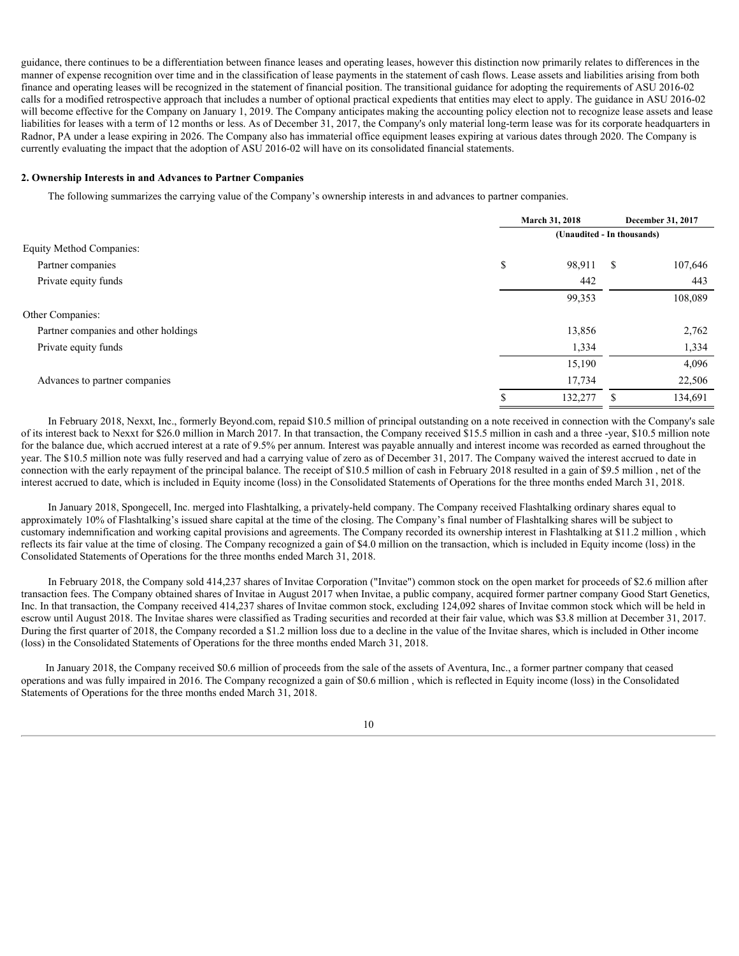guidance, there continues to be a differentiation between finance leases and operating leases, however this distinction now primarily relates to differences in the manner of expense recognition over time and in the classification of lease payments in the statement of cash flows. Lease assets and liabilities arising from both finance and operating leases will be recognized in the statement of financial position. The transitional guidance for adopting the requirements of ASU 2016-02 calls for a modified retrospective approach that includes a number of optional practical expedients that entities may elect to apply. The guidance in ASU 2016-02 will become effective for the Company on January 1, 2019. The Company anticipates making the accounting policy election not to recognize lease assets and lease liabilities for leases with a term of 12 months or less. As of December 31, 2017, the Company's only material long-term lease was for its corporate headquarters in Radnor, PA under a lease expiring in 2026. The Company also has immaterial office equipment leases expiring at various dates through 2020. The Company is currently evaluating the impact that the adoption of ASU 2016-02 will have on its consolidated financial statements.

### **2. Ownership Interests in and Advances to Partner Companies**

The following summarizes the carrying value of the Company's ownership interests in and advances to partner companies.

|                                      | March 31, 2018      | December 31, 2017          |  |  |  |
|--------------------------------------|---------------------|----------------------------|--|--|--|
|                                      |                     | (Unaudited - In thousands) |  |  |  |
| <b>Equity Method Companies:</b>      |                     |                            |  |  |  |
| Partner companies                    | 98,911<br>¢<br>- 33 | 107,646<br>- S             |  |  |  |
| Private equity funds                 | 442                 | 443                        |  |  |  |
|                                      | 99,353              | 108,089                    |  |  |  |
| Other Companies:                     |                     |                            |  |  |  |
| Partner companies and other holdings | 13,856              | 2,762                      |  |  |  |
| Private equity funds                 | 1,334               | 1,334                      |  |  |  |
|                                      | 15,190              | 4,096                      |  |  |  |
| Advances to partner companies        | 17,734              | 22,506                     |  |  |  |
|                                      | 132,277             | 134,691                    |  |  |  |
|                                      |                     |                            |  |  |  |

In February 2018, Nexxt, Inc., formerly Beyond.com, repaid \$10.5 million of principal outstanding on a note received in connection with the Company's sale of its interest back to Nexxt for \$26.0 million in March 2017. In that transaction, the Company received \$15.5 million in cash and a three -year, \$10.5 million note for the balance due, which accrued interest at a rate of 9.5% per annum. Interest was payable annually and interest income was recorded as earned throughout the year. The \$10.5 million note was fully reserved and had a carrying value of zero as of December 31, 2017. The Company waived the interest accrued to date in connection with the early repayment of the principal balance. The receipt of \$10.5 million of cash in February 2018 resulted in a gain of \$9.5 million , net of the interest accrued to date, which is included in Equity income (loss) in the Consolidated Statements of Operations for the three months ended March 31, 2018.

In January 2018, Spongecell, Inc. merged into Flashtalking, a privately-held company. The Company received Flashtalking ordinary shares equal to approximately 10% of Flashtalking's issued share capital at the time of the closing. The Company's final number of Flashtalking shares will be subject to customary indemnification and working capital provisions and agreements. The Company recorded its ownership interest in Flashtalking at \$11.2 million , which reflects its fair value at the time of closing. The Company recognized a gain of \$4.0 million on the transaction, which is included in Equity income (loss) in the Consolidated Statements of Operations for the three months ended March 31, 2018.

In February 2018, the Company sold 414,237 shares of Invitae Corporation ("Invitae") common stock on the open market for proceeds of \$2.6 million after transaction fees. The Company obtained shares of Invitae in August 2017 when Invitae, a public company, acquired former partner company Good Start Genetics, Inc. In that transaction, the Company received 414,237 shares of Invitae common stock, excluding 124,092 shares of Invitae common stock which will be held in escrow until August 2018. The Invitae shares were classified as Trading securities and recorded at their fair value, which was \$3.8 million at December 31, 2017. During the first quarter of 2018, the Company recorded a \$1.2 million loss due to a decline in the value of the Invitae shares, which is included in Other income (loss) in the Consolidated Statements of Operations for the three months ended March 31, 2018.

In January 2018, the Company received \$0.6 million of proceeds from the sale of the assets of Aventura, Inc., a former partner company that ceased operations and was fully impaired in 2016. The Company recognized a gain of \$0.6 million , which is reflected in Equity income (loss) in the Consolidated Statements of Operations for the three months ended March 31, 2018.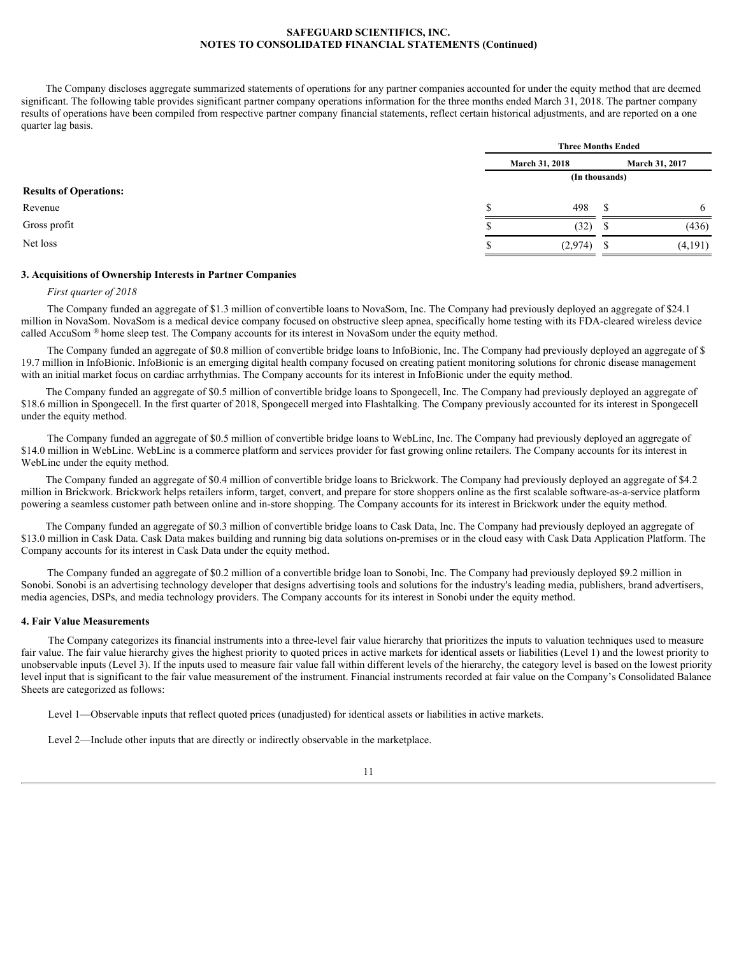The Company discloses aggregate summarized statements of operations for any partner companies accounted for under the equity method that are deemed significant. The following table provides significant partner company operations information for the three months ended March 31, 2018. The partner company results of operations have been compiled from respective partner company financial statements, reflect certain historical adjustments, and are reported on a one quarter lag basis.

|                               | <b>Three Months Ended</b> |                       |         |  |  |  |
|-------------------------------|---------------------------|-----------------------|---------|--|--|--|
|                               | <b>March 31, 2018</b>     | <b>March 31, 2017</b> |         |  |  |  |
|                               |                           | (In thousands)        |         |  |  |  |
| <b>Results of Operations:</b> |                           |                       |         |  |  |  |
| Revenue                       | 498                       |                       |         |  |  |  |
| Gross profit                  | (32)                      |                       | (436)   |  |  |  |
| Net loss                      | (2,974)                   |                       | (4,191) |  |  |  |
|                               |                           |                       |         |  |  |  |

# **3. Acquisitions of Ownership Interests in Partner Companies**

### *First quarter of 2018*

The Company funded an aggregate of \$1.3 million of convertible loans to NovaSom, Inc. The Company had previously deployed an aggregate of \$24.1 million in NovaSom. NovaSom is a medical device company focused on obstructive sleep apnea, specifically home testing with its FDA-cleared wireless device called AccuSom ® home sleep test. The Company accounts for its interest in NovaSom under the equity method.

The Company funded an aggregate of \$0.8 million of convertible bridge loans to InfoBionic, Inc. The Company had previously deployed an aggregate of \$ 19.7 million in InfoBionic. InfoBionic is an emerging digital health company focused on creating patient monitoring solutions for chronic disease management with an initial market focus on cardiac arrhythmias. The Company accounts for its interest in InfoBionic under the equity method.

The Company funded an aggregate of \$0.5 million of convertible bridge loans to Spongecell, Inc. The Company had previously deployed an aggregate of \$18.6 million in Spongecell. In the first quarter of 2018, Spongecell merged into Flashtalking. The Company previously accounted for its interest in Spongecell under the equity method.

The Company funded an aggregate of \$0.5 million of convertible bridge loans to WebLinc, Inc. The Company had previously deployed an aggregate of \$14.0 million in WebLinc. WebLinc is a commerce platform and services provider for fast growing online retailers. The Company accounts for its interest in WebLinc under the equity method.

The Company funded an aggregate of \$0.4 million of convertible bridge loans to Brickwork. The Company had previously deployed an aggregate of \$4.2 million in Brickwork. Brickwork helps retailers inform, target, convert, and prepare for store shoppers online as the first scalable software-as-a-service platform powering a seamless customer path between online and in-store shopping. The Company accounts for its interest in Brickwork under the equity method.

The Company funded an aggregate of \$0.3 million of convertible bridge loans to Cask Data, Inc. The Company had previously deployed an aggregate of \$13.0 million in Cask Data. Cask Data makes building and running big data solutions on-premises or in the cloud easy with Cask Data Application Platform. The Company accounts for its interest in Cask Data under the equity method.

The Company funded an aggregate of \$0.2 million of a convertible bridge loan to Sonobi, Inc. The Company had previously deployed \$9.2 million in Sonobi. Sonobi is an advertising technology developer that designs advertising tools and solutions for the industry's leading media, publishers, brand advertisers, media agencies, DSPs, and media technology providers. The Company accounts for its interest in Sonobi under the equity method.

### **4. Fair Value Measurements**

The Company categorizes its financial instruments into a three-level fair value hierarchy that prioritizes the inputs to valuation techniques used to measure fair value. The fair value hierarchy gives the highest priority to quoted prices in active markets for identical assets or liabilities (Level 1) and the lowest priority to unobservable inputs (Level 3). If the inputs used to measure fair value fall within different levels of the hierarchy, the category level is based on the lowest priority level input that is significant to the fair value measurement of the instrument. Financial instruments recorded at fair value on the Company's Consolidated Balance Sheets are categorized as follows:

Level 1—Observable inputs that reflect quoted prices (unadjusted) for identical assets or liabilities in active markets.

Level 2—Include other inputs that are directly or indirectly observable in the marketplace.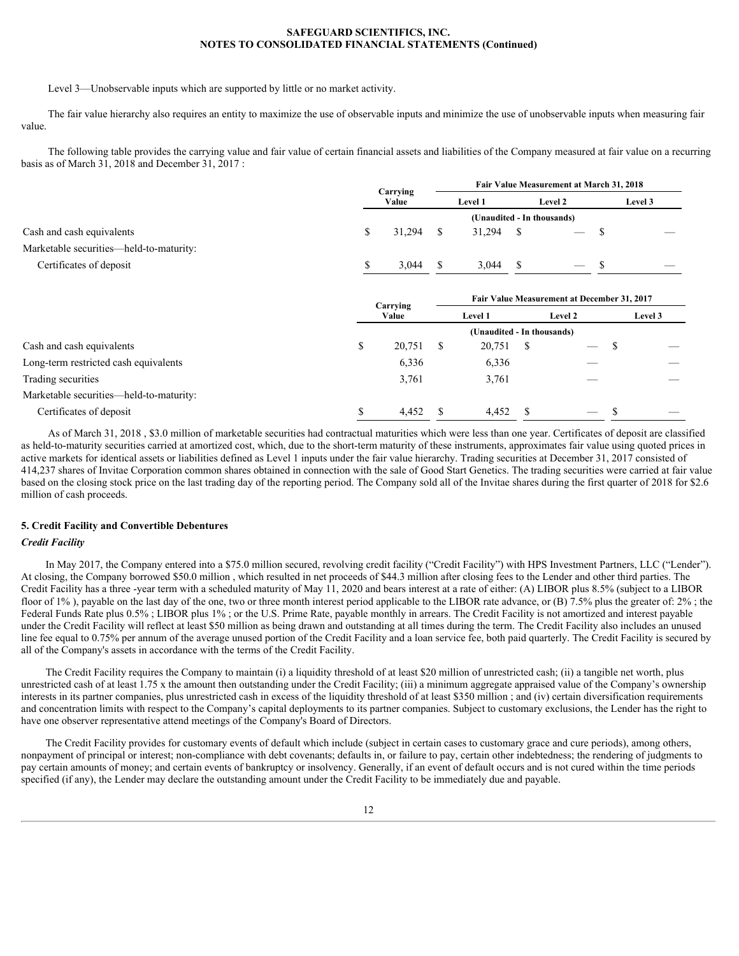Level 3—Unobservable inputs which are supported by little or no market activity.

The fair value hierarchy also requires an entity to maximize the use of observable inputs and minimize the use of unobservable inputs when measuring fair value.

The following table provides the carrying value and fair value of certain financial assets and liabilities of the Company measured at fair value on a recurring basis as of March 31, 2018 and December 31, 2017 :

|                                         |    | Carrying    | Fair Value Measurement at March 31, 2018 |                            |            |                                             |         |                                 |  |
|-----------------------------------------|----|-------------|------------------------------------------|----------------------------|------------|---------------------------------------------|---------|---------------------------------|--|
|                                         |    | Value       |                                          | Level 1                    |            | Level 2                                     | Level 3 |                                 |  |
|                                         |    |             |                                          | (Unaudited - In thousands) |            |                                             |         |                                 |  |
| Cash and cash equivalents               | D. | $31,294$ \$ |                                          | 31,294                     | $^{\circ}$ | $\overline{\phantom{0}}$                    |         | $\hspace{0.1mm}-\hspace{0.1mm}$ |  |
| Marketable securities—held-to-maturity: |    |             |                                          |                            |            |                                             |         |                                 |  |
| Certificates of deposit                 |    | 3,044       | - S                                      | 3,044                      | - \$       | $-5$                                        |         | $\hspace{0.1mm}-\hspace{0.1mm}$ |  |
|                                         |    |             |                                          |                            |            |                                             |         |                                 |  |
|                                         |    | Carrying    |                                          |                            |            | Fair Value Measurement at December 31, 2017 |         |                                 |  |
|                                         |    | Value       |                                          | <b>Level 1</b>             |            | <b>Level 2</b>                              |         | Level 3                         |  |
|                                         |    |             |                                          | (Unaudited - In thousands) |            |                                             |         |                                 |  |
| Cash and cash equivalents               |    | 20,751      | - S                                      | $20,751$ \$                |            | $\overline{\phantom{0}}$                    |         | $\overbrace{\hspace{25mm}}^{}$  |  |
| Long-term restricted cash equivalents   |    | 6,336       |                                          | 6,336                      |            | $\overbrace{\phantom{aaaaa}}$               |         | $\hspace{0.05cm}$               |  |
| Trading securities                      |    | 3,761       |                                          | 3,761                      |            | $\overbrace{\hspace{25mm}}^{}$              |         | $\overbrace{\hspace{25mm}}^{}$  |  |
| Marketable securities—held-to-maturity: |    |             |                                          |                            |            |                                             |         |                                 |  |
| Certificates of deposit                 |    | 4,452       | -S                                       | $4,452$ \$                 |            | $\overline{\phantom{a}}$                    |         |                                 |  |

As of March 31, 2018 , \$3.0 million of marketable securities had contractual maturities which were less than one year. Certificates of deposit are classified as held-to-maturity securities carried at amortized cost, which, due to the short-term maturity of these instruments, approximates fair value using quoted prices in active markets for identical assets or liabilities defined as Level 1 inputs under the fair value hierarchy. Trading securities at December 31, 2017 consisted of 414,237 shares of Invitae Corporation common shares obtained in connection with the sale of Good Start Genetics. The trading securities were carried at fair value based on the closing stock price on the last trading day of the reporting period. The Company sold all of the Invitae shares during the first quarter of 2018 for \$2.6 million of cash proceeds.

### **5. Credit Facility and Convertible Debentures**

### *Credit Facility*

In May 2017, the Company entered into a \$75.0 million secured, revolving credit facility ("Credit Facility") with HPS Investment Partners, LLC ("Lender"). At closing, the Company borrowed \$50.0 million , which resulted in net proceeds of \$44.3 million after closing fees to the Lender and other third parties. The Credit Facility has a three -year term with a scheduled maturity of May 11, 2020 and bears interest at a rate of either: (A) LIBOR plus 8.5% (subject to a LIBOR floor of 1%), payable on the last day of the one, two or three month interest period applicable to the LIBOR rate advance, or (B) 7.5% plus the greater of: 2%; the Federal Funds Rate plus 0.5%; LIBOR plus 1%; or the U.S. Prime Rate, payable monthly in arrears. The Credit Facility is not amortized and interest payable under the Credit Facility will reflect at least \$50 million as being drawn and outstanding at all times during the term. The Credit Facility also includes an unused line fee equal to 0.75% per annum of the average unused portion of the Credit Facility and a loan service fee, both paid quarterly. The Credit Facility is secured by all of the Company's assets in accordance with the terms of the Credit Facility.

The Credit Facility requires the Company to maintain (i) a liquidity threshold of at least \$20 million of unrestricted cash; (ii) a tangible net worth, plus unrestricted cash of at least 1.75 x the amount then outstanding under the Credit Facility; (iii) a minimum aggregate appraised value of the Company's ownership interests in its partner companies, plus unrestricted cash in excess of the liquidity threshold of at least \$350 million ; and (iv) certain diversification requirements and concentration limits with respect to the Company's capital deployments to its partner companies. Subject to customary exclusions, the Lender has the right to have one observer representative attend meetings of the Company's Board of Directors.

The Credit Facility provides for customary events of default which include (subject in certain cases to customary grace and cure periods), among others, nonpayment of principal or interest; non-compliance with debt covenants; defaults in, or failure to pay, certain other indebtedness; the rendering of judgments to pay certain amounts of money; and certain events of bankruptcy or insolvency. Generally, if an event of default occurs and is not cured within the time periods specified (if any), the Lender may declare the outstanding amount under the Credit Facility to be immediately due and payable.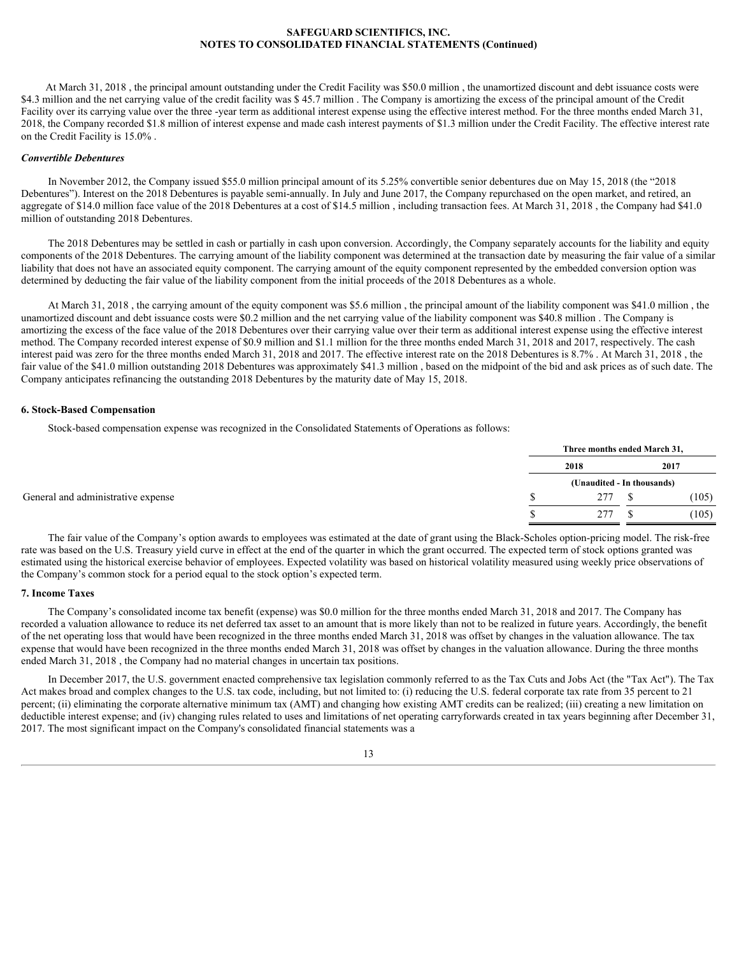At March 31, 2018 , the principal amount outstanding under the Credit Facility was \$50.0 million , the unamortized discount and debt issuance costs were \$4.3 million and the net carrying value of the credit facility was \$45.7 million. The Company is amortizing the excess of the principal amount of the Credit Facility over its carrying value over the three -year term as additional interest expense using the effective interest method. For the three months ended March 31, 2018, the Company recorded \$1.8 million of interest expense and made cash interest payments of \$1.3 million under the Credit Facility. The effective interest rate on the Credit Facility is 15.0% .

# *Convertible Debentures*

In November 2012, the Company issued \$55.0 million principal amount of its 5.25% convertible senior debentures due on May 15, 2018 (the "2018 Debentures"). Interest on the 2018 Debentures is payable semi-annually. In July and June 2017, the Company repurchased on the open market, and retired, an aggregate of \$14.0 million face value of the 2018 Debentures at a cost of \$14.5 million , including transaction fees. At March 31, 2018 , the Company had \$41.0 million of outstanding 2018 Debentures.

The 2018 Debentures may be settled in cash or partially in cash upon conversion. Accordingly, the Company separately accounts for the liability and equity components of the 2018 Debentures. The carrying amount of the liability component was determined at the transaction date by measuring the fair value of a similar liability that does not have an associated equity component. The carrying amount of the equity component represented by the embedded conversion option was determined by deducting the fair value of the liability component from the initial proceeds of the 2018 Debentures as a whole.

At March 31, 2018 , the carrying amount of the equity component was \$5.6 million , the principal amount of the liability component was \$41.0 million , the unamortized discount and debt issuance costs were \$0.2 million and the net carrying value of the liability component was \$40.8 million . The Company is amortizing the excess of the face value of the 2018 Debentures over their carrying value over their term as additional interest expense using the effective interest method. The Company recorded interest expense of \$0.9 million and \$1.1 million for the three months ended March 31, 2018 and 2017, respectively. The cash interest paid was zero for the three months ended March 31, 2018 and 2017. The effective interest rate on the 2018 Debentures is 8.7% . At March 31, 2018 , the fair value of the \$41.0 million outstanding 2018 Debentures was approximately \$41.3 million , based on the midpoint of the bid and ask prices as of such date. The Company anticipates refinancing the outstanding 2018 Debentures by the maturity date of May 15, 2018.

### **6. Stock-Based Compensation**

Stock-based compensation expense was recognized in the Consolidated Statements of Operations as follows:

|  | Three months ended March 31, |       |
|--|------------------------------|-------|
|  | 2018                         | 2017  |
|  | (Unaudited - In thousands)   |       |
|  | 277                          | (105) |
|  | 277                          | (105) |

The fair value of the Company's option awards to employees was estimated at the date of grant using the Black-Scholes option-pricing model. The risk-free rate was based on the U.S. Treasury yield curve in effect at the end of the quarter in which the grant occurred. The expected term of stock options granted was estimated using the historical exercise behavior of employees. Expected volatility was based on historical volatility measured using weekly price observations of the Company's common stock for a period equal to the stock option's expected term.

### **7. Income Taxes**

The Company's consolidated income tax benefit (expense) was \$0.0 million for the three months ended March 31, 2018 and 2017. The Company has recorded a valuation allowance to reduce its net deferred tax asset to an amount that is more likely than not to be realized in future years. Accordingly, the benefit of the net operating loss that would have been recognized in the three months ended March 31, 2018 was offset by changes in the valuation allowance. The tax expense that would have been recognized in the three months ended March 31, 2018 was offset by changes in the valuation allowance. During the three months ended March 31, 2018 , the Company had no material changes in uncertain tax positions.

In December 2017, the U.S. government enacted comprehensive tax legislation commonly referred to as the Tax Cuts and Jobs Act (the "Tax Act"). The Tax Act makes broad and complex changes to the U.S. tax code, including, but not limited to: (i) reducing the U.S. federal corporate tax rate from 35 percent to 21 percent; (ii) eliminating the corporate alternative minimum tax (AMT) and changing how existing AMT credits can be realized; (iii) creating a new limitation on deductible interest expense; and (iv) changing rules related to uses and limitations of net operating carryforwards created in tax years beginning after December 31, 2017. The most significant impact on the Company's consolidated financial statements was a

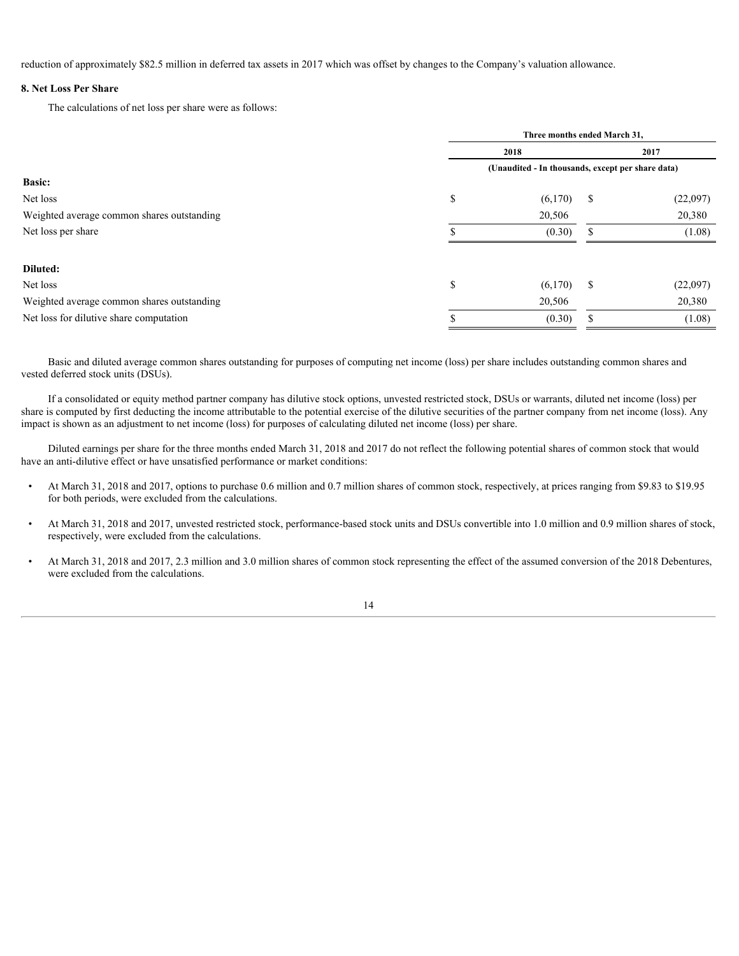reduction of approximately \$82.5 million in deferred tax assets in 2017 which was offset by changes to the Company's valuation allowance.

# **8. Net Loss Per Share**

The calculations of net loss per share were as follows:

|                                            | Three months ended March 31,                      |              |      |          |  |
|--------------------------------------------|---------------------------------------------------|--------------|------|----------|--|
|                                            | 2018                                              |              | 2017 |          |  |
|                                            | (Unaudited - In thousands, except per share data) |              |      |          |  |
| <b>Basic:</b>                              |                                                   |              |      |          |  |
| Net loss                                   | <b>S</b>                                          | $(6,170)$ \$ |      | (22,097) |  |
| Weighted average common shares outstanding |                                                   | 20,506       |      | 20,380   |  |
| Net loss per share                         |                                                   | (0.30)       |      | (1.08)   |  |
|                                            |                                                   |              |      |          |  |
| Diluted:                                   |                                                   |              |      |          |  |
| Net loss                                   |                                                   | $(6,170)$ \$ |      | (22,097) |  |
| Weighted average common shares outstanding |                                                   | 20,506       |      | 20,380   |  |
| Net loss for dilutive share computation    |                                                   | (0.30)       |      | (1.08)   |  |

Basic and diluted average common shares outstanding for purposes of computing net income (loss) per share includes outstanding common shares and vested deferred stock units (DSUs).

If a consolidated or equity method partner company has dilutive stock options, unvested restricted stock, DSUs or warrants, diluted net income (loss) per share is computed by first deducting the income attributable to the potential exercise of the dilutive securities of the partner company from net income (loss). Any impact is shown as an adjustment to net income (loss) for purposes of calculating diluted net income (loss) per share.

Diluted earnings per share for the three months ended March 31, 2018 and 2017 do not reflect the following potential shares of common stock that would have an anti-dilutive effect or have unsatisfied performance or market conditions:

- At March 31, 2018 and 2017, options to purchase 0.6 million and 0.7 million shares of common stock, respectively, at prices ranging from \$9.83 to \$19.95 for both periods, were excluded from the calculations.
- At March 31, 2018 and 2017, unvested restricted stock, performance-based stock units and DSUs convertible into 1.0 million and 0.9 million shares of stock, respectively, were excluded from the calculations.
- At March 31, 2018 and 2017, 2.3 million and 3.0 million shares of common stock representing the effect of the assumed conversion of the 2018 Debentures, were excluded from the calculations.

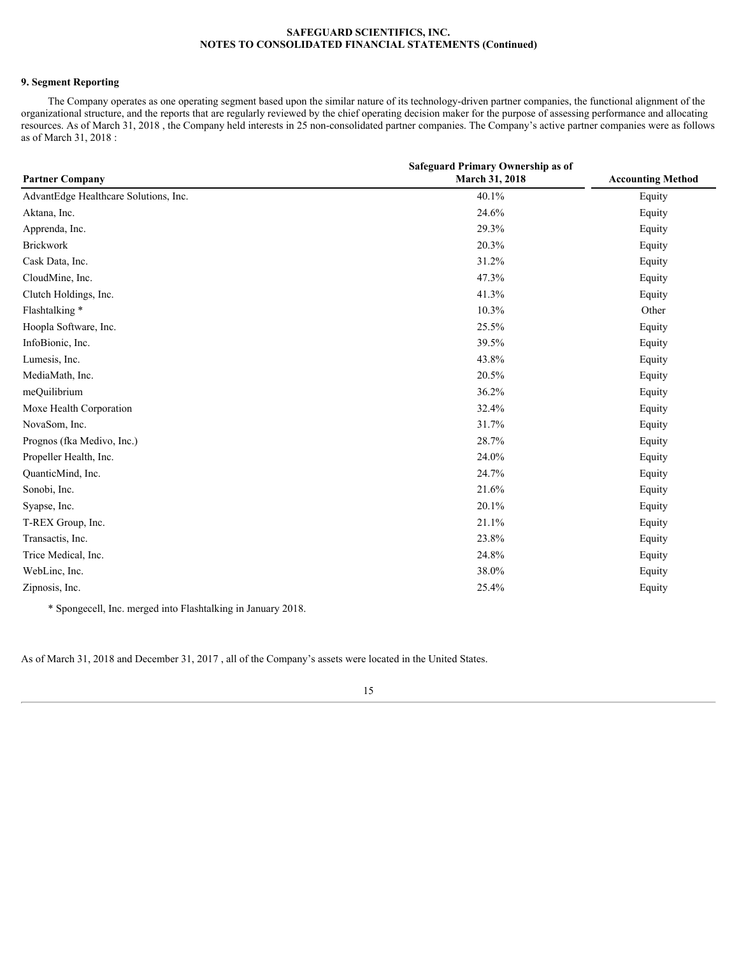# **9. Segment Reporting**

The Company operates as one operating segment based upon the similar nature of its technology-driven partner companies, the functional alignment of the organizational structure, and the reports that are regularly reviewed by the chief operating decision maker for the purpose of assessing performance and allocating resources. As of March 31, 2018 , the Company held interests in 25 non-consolidated partner companies. The Company's active partner companies were as follows as of March 31, 2018 :

|                                       | Safeguard Primary Ownership as of |                          |
|---------------------------------------|-----------------------------------|--------------------------|
| <b>Partner Company</b>                | March 31, 2018                    | <b>Accounting Method</b> |
| AdvantEdge Healthcare Solutions, Inc. | 40.1%                             | Equity                   |
| Aktana, Inc.                          | 24.6%                             | Equity                   |
| Apprenda, Inc.                        | 29.3%                             | Equity                   |
| Brickwork                             | 20.3%                             | Equity                   |
| Cask Data, Inc.                       | 31.2%                             | Equity                   |
| CloudMine, Inc.                       | 47.3%                             | Equity                   |
| Clutch Holdings, Inc.                 | 41.3%                             | Equity                   |
| Flashtalking*                         | 10.3%                             | Other                    |
| Hoopla Software, Inc.                 | 25.5%                             | Equity                   |
| InfoBionic, Inc.                      | 39.5%                             | Equity                   |
| Lumesis, Inc.                         | 43.8%                             | Equity                   |
| MediaMath, Inc.                       | 20.5%                             | Equity                   |
| meQuilibrium                          | 36.2%                             | Equity                   |
| Moxe Health Corporation               | 32.4%                             | Equity                   |
| NovaSom, Inc.                         | 31.7%                             | Equity                   |
| Prognos (fka Medivo, Inc.)            | 28.7%                             | Equity                   |
| Propeller Health, Inc.                | 24.0%                             | Equity                   |
| QuanticMind, Inc.                     | 24.7%                             | Equity                   |
| Sonobi, Inc.                          | 21.6%                             | Equity                   |
| Syapse, Inc.                          | 20.1%                             | Equity                   |
| T-REX Group, Inc.                     | 21.1%                             | Equity                   |
| Transactis, Inc.                      | 23.8%                             | Equity                   |
| Trice Medical, Inc.                   | 24.8%                             | Equity                   |
| WebLinc, Inc.                         | 38.0%                             | Equity                   |
| Zipnosis, Inc.                        | 25.4%                             | Equity                   |
|                                       |                                   |                          |

\* Spongecell, Inc. merged into Flashtalking in January 2018.

As of March 31, 2018 and December 31, 2017 , all of the Company's assets were located in the United States.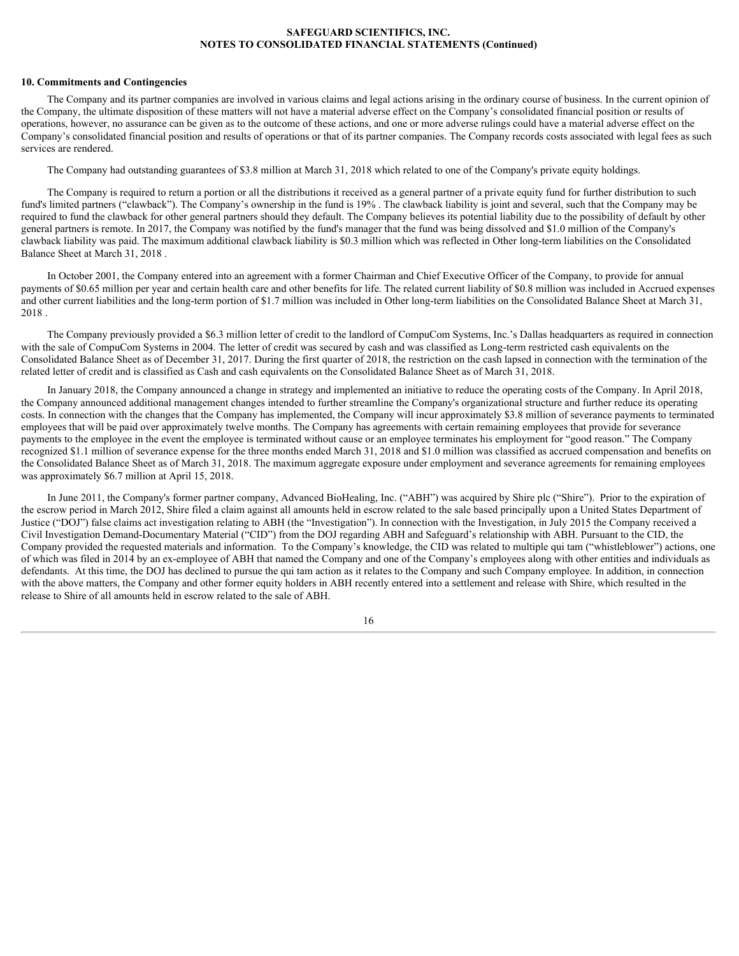### **10. Commitments and Contingencies**

The Company and its partner companies are involved in various claims and legal actions arising in the ordinary course of business. In the current opinion of the Company, the ultimate disposition of these matters will not have a material adverse effect on the Company's consolidated financial position or results of operations, however, no assurance can be given as to the outcome of these actions, and one or more adverse rulings could have a material adverse effect on the Company's consolidated financial position and results of operations or that of its partner companies. The Company records costs associated with legal fees as such services are rendered.

The Company had outstanding guarantees of \$3.8 million at March 31, 2018 which related to one of the Company's private equity holdings.

The Company is required to return a portion or all the distributions it received as a general partner of a private equity fund for further distribution to such fund's limited partners ("clawback"). The Company's ownership in the fund is 19% . The clawback liability is joint and several, such that the Company may be required to fund the clawback for other general partners should they default. The Company believes its potential liability due to the possibility of default by other general partners is remote. In 2017, the Company was notified by the fund's manager that the fund was being dissolved and \$1.0 million of the Company's clawback liability was paid. The maximum additional clawback liability is \$0.3 million which was reflected in Other long-term liabilities on the Consolidated Balance Sheet at March 31, 2018 .

In October 2001, the Company entered into an agreement with a former Chairman and Chief Executive Officer of the Company, to provide for annual payments of \$0.65 million per year and certain health care and other benefits for life. The related current liability of \$0.8 million was included in Accrued expenses and other current liabilities and the long-term portion of \$1.7 million was included in Other long-term liabilities on the Consolidated Balance Sheet at March 31, 2018 .<br>The Company previously provided a \$6.3 million letter of credit to the landlord of CompuCom Systems, Inc.'s Dallas headquarters as required in connection

with the sale of CompuCom Systems in 2004. The letter of credit was secured by cash and was classified as Long-term restricted cash equivalents on the Consolidated Balance Sheet as of December 31, 2017. During the first quarter of 2018, the restriction on the cash lapsed in connection with the termination of the related letter of credit and is classified as Cash and cash equivalents on the Consolidated Balance Sheet as of March 31, 2018.

In January 2018, the Company announced a change in strategy and implemented an initiative to reduce the operating costs of the Company. In April 2018, the Company announced additional management changes intended to further streamline the Company's organizational structure and further reduce its operating costs. In connection with the changes that the Company has implemented, the Company will incur approximately \$3.8 million of severance payments to terminated employees that will be paid over approximately twelve months. The Company has agreements with certain remaining employees that provide for severance payments to the employee in the event the employee is terminated without cause or an employee terminates his employment for "good reason." The Company recognized \$1.1 million of severance expense for the three months ended March 31, 2018 and \$1.0 million was classified as accrued compensation and benefits on the Consolidated Balance Sheet as of March 31, 2018. The maximum aggregate exposure under employment and severance agreements for remaining employees was approximately \$6.7 million at April 15, 2018.

In June 2011, the Company's former partner company, Advanced BioHealing, Inc. ("ABH") was acquired by Shire plc ("Shire"). Prior to the expiration of the escrow period in March 2012, Shire filed a claim against all amounts held in escrow related to the sale based principally upon a United States Department of Justice ("DOJ") false claims act investigation relating to ABH (the "Investigation"). In connection with the Investigation, in July 2015 the Company received a Civil Investigation Demand-Documentary Material ("CID") from the DOJ regarding ABH and Safeguard's relationship with ABH. Pursuant to the CID, the Company provided the requested materials and information. To the Company's knowledge, the CID was related to multiple qui tam ("whistleblower") actions, one of which was filed in 2014 by an ex-employee of ABH that named the Company and one of the Company's employees along with other entities and individuals as defendants. At this time, the DOJ has declined to pursue the qui tam action as it relates to the Company and such Company employee. In addition, in connection with the above matters, the Company and other former equity holders in ABH recently entered into a settlement and release with Shire, which resulted in the release to Shire of all amounts held in escrow related to the sale of ABH.

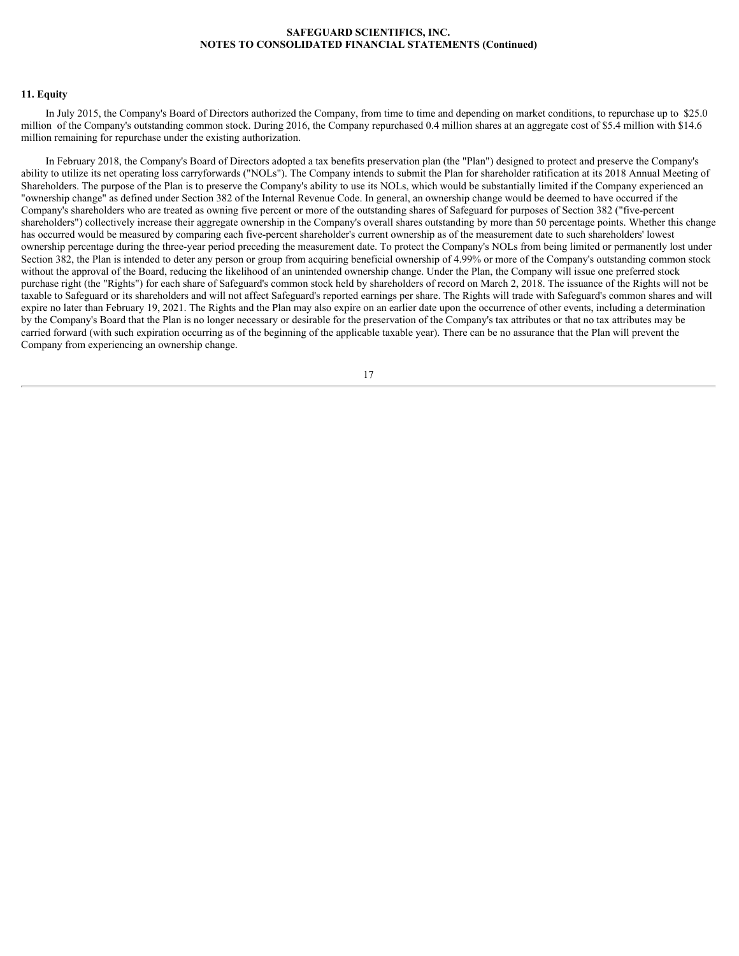### **11. Equity**

In July 2015, the Company's Board of Directors authorized the Company, from time to time and depending on market conditions, to repurchase up to \$25.0 million of the Company's outstanding common stock. During 2016, the Company repurchased 0.4 million shares at an aggregate cost of \$5.4 million with \$14.6 million remaining for repurchase under the existing authorization.

In February 2018, the Company's Board of Directors adopted a tax benefits preservation plan (the "Plan") designed to protect and preserve the Company's ability to utilize its net operating loss carryforwards ("NOLs"). The Company intends to submit the Plan for shareholder ratification at its 2018 Annual Meeting of Shareholders. The purpose of the Plan is to preserve the Company's ability to use its NOLs, which would be substantially limited if the Company experienced an "ownership change" as defined under Section 382 of the Internal Revenue Code. In general, an ownership change would be deemed to have occurred if the Company's shareholders who are treated as owning five percent or more of the outstanding shares of Safeguard for purposes of Section 382 ("five-percent shareholders") collectively increase their aggregate ownership in the Company's overall shares outstanding by more than 50 percentage points. Whether this change has occurred would be measured by comparing each five-percent shareholder's current ownership as of the measurement date to such shareholders' lowest ownership percentage during the three-year period preceding the measurement date. To protect the Company's NOLs from being limited or permanently lost under Section 382, the Plan is intended to deter any person or group from acquiring beneficial ownership of 4.99% or more of the Company's outstanding common stock without the approval of the Board, reducing the likelihood of an unintended ownership change. Under the Plan, the Company will issue one preferred stock purchase right (the "Rights") for each share of Safeguard's common stock held by shareholders of record on March 2, 2018. The issuance of the Rights will not be taxable to Safeguard or its shareholders and will not affect Safeguard's reported earnings per share. The Rights will trade with Safeguard's common shares and will expire no later than February 19, 2021. The Rights and the Plan may also expire on an earlier date upon the occurrence of other events, including a determination by the Company's Board that the Plan is no longer necessary or desirable for the preservation of the Company's tax attributes or that no tax attributes may be carried forward (with such expiration occurring as of the beginning of the applicable taxable year). There can be no assurance that the Plan will prevent the Company from experiencing an ownership change.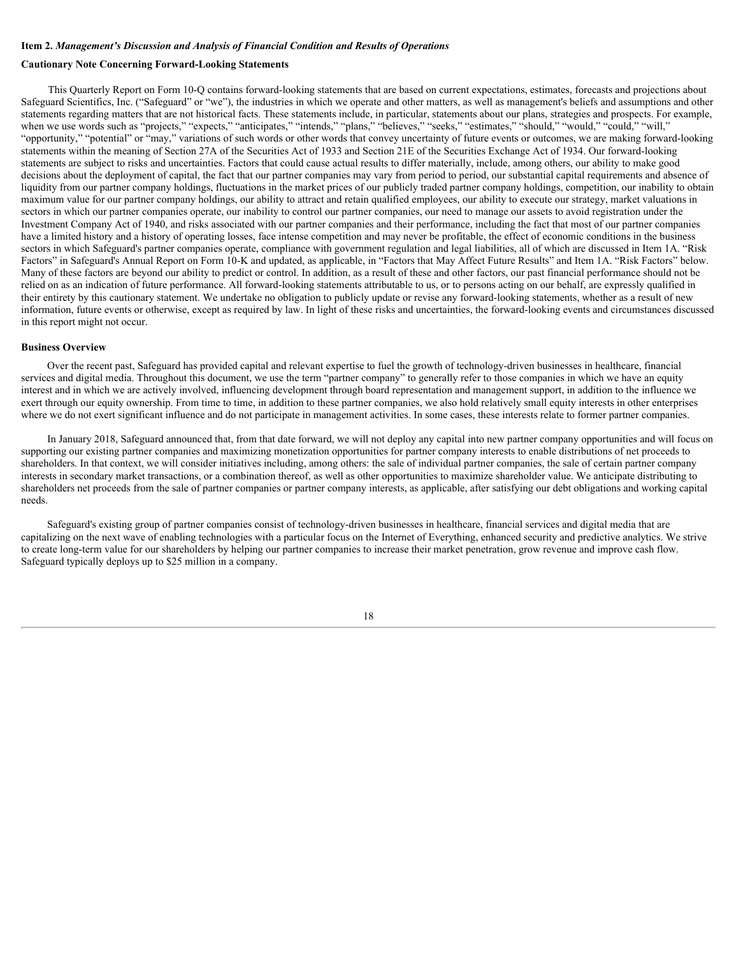# <span id="page-17-0"></span>**Item 2.** *Management's Discussion and Analysis of Financial Condition and Results of Operations*

# **Cautionary Note Concerning Forward-Looking Statements**

This Quarterly Report on Form 10-Q contains forward-looking statements that are based on current expectations, estimates, forecasts and projections about Safeguard Scientifics, Inc. ("Safeguard" or "we"), the industries in which we operate and other matters, as well as management's beliefs and assumptions and other statements regarding matters that are not historical facts. These statements include, in particular, statements about our plans, strategies and prospects. For example, when we use words such as "projects," "expects," "anticipates," "intends," "plans," "believes," "seeks," "estimates," "should," "would," "could," "will," "opportunity," "potential" or "may," variations of such words or other words that convey uncertainty of future events or outcomes, we are making forward-looking statements within the meaning of Section 27A of the Securities Act of 1933 and Section 21E of the Securities Exchange Act of 1934. Our forward-looking statements are subject to risks and uncertainties. Factors that could cause actual results to differ materially, include, among others, our ability to make good decisions about the deployment of capital, the fact that our partner companies may vary from period to period, our substantial capital requirements and absence of liquidity from our partner company holdings, fluctuations in the market prices of our publicly traded partner company holdings, competition, our inability to obtain maximum value for our partner company holdings, our ability to attract and retain qualified employees, our ability to execute our strategy, market valuations in sectors in which our partner companies operate, our inability to control our partner companies, our need to manage our assets to avoid registration under the Investment Company Act of 1940, and risks associated with our partner companies and their performance, including the fact that most of our partner companies have a limited history and a history of operating losses, face intense competition and may never be profitable, the effect of economic conditions in the business sectors in which Safeguard's partner companies operate, compliance with government regulation and legal liabilities, all of which are discussed in Item 1A. "Risk Factors" in Safeguard's Annual Report on Form 10-K and updated, as applicable, in "Factors that May Affect Future Results" and Item 1A. "Risk Factors" below. Many of these factors are beyond our ability to predict or control. In addition, as a result of these and other factors, our past financial performance should not be relied on as an indication of future performance. All forward-looking statements attributable to us, or to persons acting on our behalf, are expressly qualified in their entirety by this cautionary statement. We undertake no obligation to publicly update or revise any forward-looking statements, whether as a result of new information, future events or otherwise, except as required by law. In light of these risks and uncertainties, the forward-looking events and circumstances discussed in this report might not occur.

#### **Business Overview**

Over the recent past, Safeguard has provided capital and relevant expertise to fuel the growth of technology-driven businesses in healthcare, financial services and digital media. Throughout this document, we use the term "partner company" to generally refer to those companies in which we have an equity interest and in which we are actively involved, influencing development through board representation and management support, in addition to the influence we exert through our equity ownership. From time to time, in addition to these partner companies, we also hold relatively small equity interests in other enterprises where we do not exert significant influence and do not participate in management activities. In some cases, these interests relate to former partner companies.

In January 2018, Safeguard announced that, from that date forward, we will not deploy any capital into new partner company opportunities and will focus on supporting our existing partner companies and maximizing monetization opportunities for partner company interests to enable distributions of net proceeds to shareholders. In that context, we will consider initiatives including, among others: the sale of individual partner companies, the sale of certain partner company interests in secondary market transactions, or a combination thereof, as well as other opportunities to maximize shareholder value. We anticipate distributing to shareholders net proceeds from the sale of partner companies or partner company interests, as applicable, after satisfying our debt obligations and working capital needs.

Safeguard's existing group of partner companies consist of technology-driven businesses in healthcare, financial services and digital media that are capitalizing on the next wave of enabling technologies with a particular focus on the Internet of Everything, enhanced security and predictive analytics. We strive to create long-term value for our shareholders by helping our partner companies to increase their market penetration, grow revenue and improve cash flow. Safeguard typically deploys up to \$25 million in a company.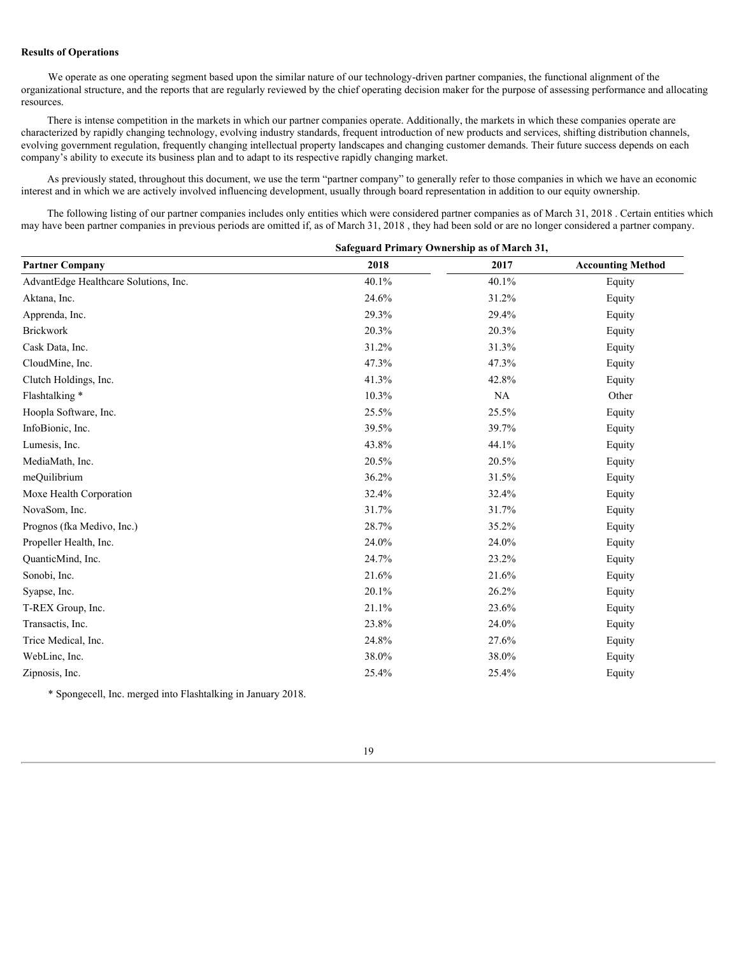# **Results of Operations**

We operate as one operating segment based upon the similar nature of our technology-driven partner companies, the functional alignment of the organizational structure, and the reports that are regularly reviewed by the chief operating decision maker for the purpose of assessing performance and allocating resources.

There is intense competition in the markets in which our partner companies operate. Additionally, the markets in which these companies operate are characterized by rapidly changing technology, evolving industry standards, frequent introduction of new products and services, shifting distribution channels, evolving government regulation, frequently changing intellectual property landscapes and changing customer demands. Their future success depends on each company's ability to execute its business plan and to adapt to its respective rapidly changing market.

As previously stated, throughout this document, we use the term "partner company" to generally refer to those companies in which we have an economic interest and in which we are actively involved influencing development, usually through board representation in addition to our equity ownership.

The following listing of our partner companies includes only entities which were considered partner companies as of March 31, 2018 . Certain entities which may have been partner companies in previous periods are omitted if, as of March 31, 2018 , they had been sold or are no longer considered a partner company.

| Safeguard Primary Ownership as of March 31, |       |           |                          |  |  |  |
|---------------------------------------------|-------|-----------|--------------------------|--|--|--|
| <b>Partner Company</b>                      | 2018  | 2017      | <b>Accounting Method</b> |  |  |  |
| AdvantEdge Healthcare Solutions, Inc.       | 40.1% | 40.1%     | Equity                   |  |  |  |
| Aktana, Inc.                                | 24.6% | 31.2%     | Equity                   |  |  |  |
| Apprenda, Inc.                              | 29.3% | 29.4%     | Equity                   |  |  |  |
| <b>Brickwork</b>                            | 20.3% | 20.3%     | Equity                   |  |  |  |
| Cask Data, Inc.                             | 31.2% | 31.3%     | Equity                   |  |  |  |
| CloudMine, Inc.                             | 47.3% | 47.3%     | Equity                   |  |  |  |
| Clutch Holdings, Inc.                       | 41.3% | 42.8%     | Equity                   |  |  |  |
| Flashtalking*                               | 10.3% | <b>NA</b> | Other                    |  |  |  |
| Hoopla Software, Inc.                       | 25.5% | 25.5%     | Equity                   |  |  |  |
| InfoBionic, Inc.                            | 39.5% | 39.7%     | Equity                   |  |  |  |
| Lumesis, Inc.                               | 43.8% | 44.1%     | Equity                   |  |  |  |
| MediaMath, Inc.                             | 20.5% | 20.5%     | Equity                   |  |  |  |
| meQuilibrium                                | 36.2% | 31.5%     | Equity                   |  |  |  |
| Moxe Health Corporation                     | 32.4% | 32.4%     | Equity                   |  |  |  |
| NovaSom, Inc.                               | 31.7% | 31.7%     | Equity                   |  |  |  |
| Prognos (fka Medivo, Inc.)                  | 28.7% | 35.2%     | Equity                   |  |  |  |
| Propeller Health, Inc.                      | 24.0% | 24.0%     | Equity                   |  |  |  |
| QuanticMind, Inc.                           | 24.7% | 23.2%     | Equity                   |  |  |  |
| Sonobi, Inc.                                | 21.6% | 21.6%     | Equity                   |  |  |  |
| Syapse, Inc.                                | 20.1% | 26.2%     | Equity                   |  |  |  |
| T-REX Group, Inc.                           | 21.1% | 23.6%     | Equity                   |  |  |  |
| Transactis, Inc.                            | 23.8% | 24.0%     | Equity                   |  |  |  |
| Trice Medical, Inc.                         | 24.8% | 27.6%     | Equity                   |  |  |  |
| WebLinc, Inc.                               | 38.0% | 38.0%     | Equity                   |  |  |  |
| Zipnosis, Inc.                              | 25.4% | 25.4%     | Equity                   |  |  |  |
|                                             |       |           |                          |  |  |  |

\* Spongecell, Inc. merged into Flashtalking in January 2018.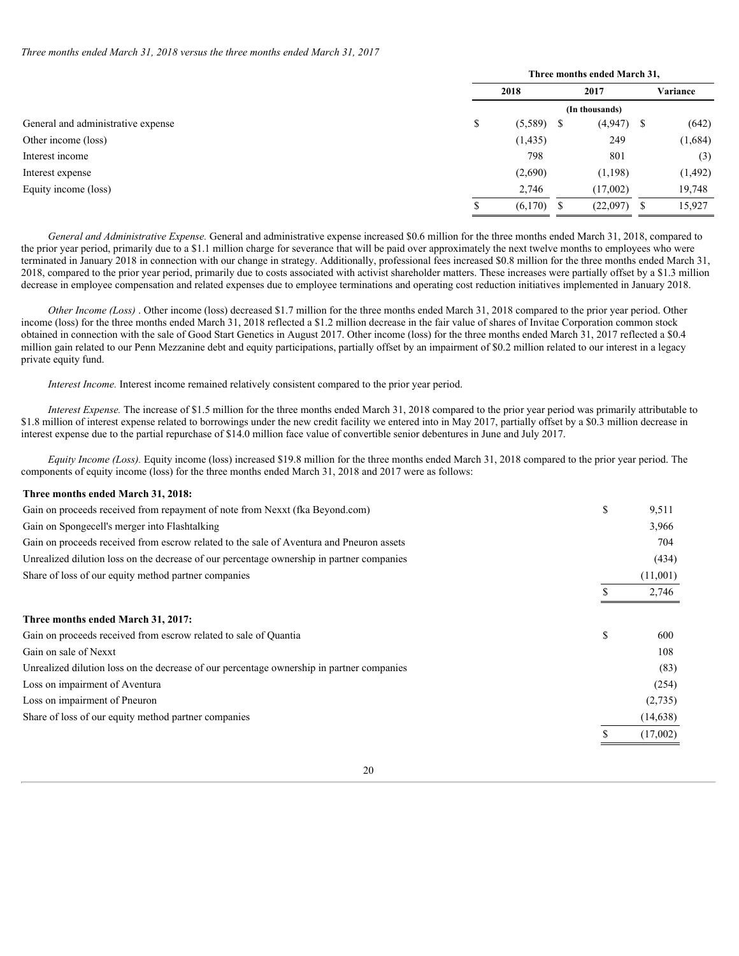*Three months ended March 31, 2018 versus the three months ended March 31, 2017*

|                                    | Three months ended March 31, |              |  |               |          |  |  |
|------------------------------------|------------------------------|--------------|--|---------------|----------|--|--|
|                                    | 2018                         |              |  | 2017          | Variance |  |  |
|                                    | (In thousands)               |              |  |               |          |  |  |
| General and administrative expense | Φ                            | $(5,589)$ \$ |  | $(4,947)$ \$  | (642)    |  |  |
| Other income (loss)                |                              | (1, 435)     |  | 249           | (1,684)  |  |  |
| Interest income                    |                              | 798          |  | 801           | (3)      |  |  |
| Interest expense                   |                              | (2,690)      |  | (1, 198)      | (1, 492) |  |  |
| Equity income (loss)               |                              | 2,746        |  | (17,002)      | 19,748   |  |  |
|                                    |                              | $(6,170)$ \$ |  | $(22,097)$ \$ | 15,927   |  |  |

*General and Administrative Expense.* General and administrative expense increased \$0.6 million for the three months ended March 31, 2018, compared to the prior year period, primarily due to a \$1.1 million charge for severance that will be paid over approximately the next twelve months to employees who were terminated in January 2018 in connection with our change in strategy. Additionally, professional fees increased \$0.8 million for the three months ended March 31, 2018, compared to the prior year period, primarily due to costs associated with activist shareholder matters. These increases were partially offset by a \$1.3 million decrease in employee compensation and related expenses due to employee terminations and operating cost reduction initiatives implemented in January 2018.

*Other Income (Loss)*. Other income (loss) decreased \$1.7 million for the three months ended March 31, 2018 compared to the prior year period. Other income (loss) for the three months ended March 31, 2018 reflected a \$1.2 million decrease in the fair value of shares of Invitae Corporation common stock obtained in connection with the sale of Good Start Genetics in August 2017. Other income (loss) for the three months ended March 31, 2017 reflected a \$0.4 million gain related to our Penn Mezzanine debt and equity participations, partially offset by an impairment of \$0.2 million related to our interest in a legacy private equity fund.

*Interest Income.* Interest income remained relatively consistent compared to the prior year period.

*Interest Expense.* The increase of \$1.5 million for the three months ended March 31, 2018 compared to the prior year period was primarily attributable to \$1.8 million of interest expense related to borrowings under the new credit facility we entered into in May 2017, partially offset by a \$0.3 million decrease in interest expense due to the partial repurchase of \$14.0 million face value of convertible senior debentures in June and July 2017.

*Equity Income (Loss).* Equity income (loss) increased \$19.8 million for the three months ended March 31, 2018 compared to the prior year period. The components of equity income (loss) for the three months ended March 31, 2018 and 2017 were as follows:

### **Three months ended March 31, 2018:**

| Gain on proceeds received from repayment of note from Nexxt (fka Beyond.com)              |    | 9,511     |
|-------------------------------------------------------------------------------------------|----|-----------|
| Gain on Spongecell's merger into Flashtalking                                             |    | 3,966     |
| Gain on proceeds received from escrow related to the sale of Aventura and Pneuron assets  |    | 704       |
| Unrealized dilution loss on the decrease of our percentage ownership in partner companies |    | (434)     |
| Share of loss of our equity method partner companies                                      |    | (11,001)  |
|                                                                                           |    | 2,746     |
| Three months ended March 31, 2017:                                                        |    |           |
| Gain on proceeds received from escrow related to sale of Quantia                          | ъ. | 600       |
| Gain on sale of Nexxt                                                                     |    | 108       |
| Unrealized dilution loss on the decrease of our percentage ownership in partner companies |    | (83)      |
| Loss on impairment of Aventura                                                            |    | (254)     |
| Loss on impairment of Pneuron                                                             |    | (2,735)   |
| Share of loss of our equity method partner companies                                      |    | (14, 638) |
|                                                                                           |    | (17,002)  |
|                                                                                           |    |           |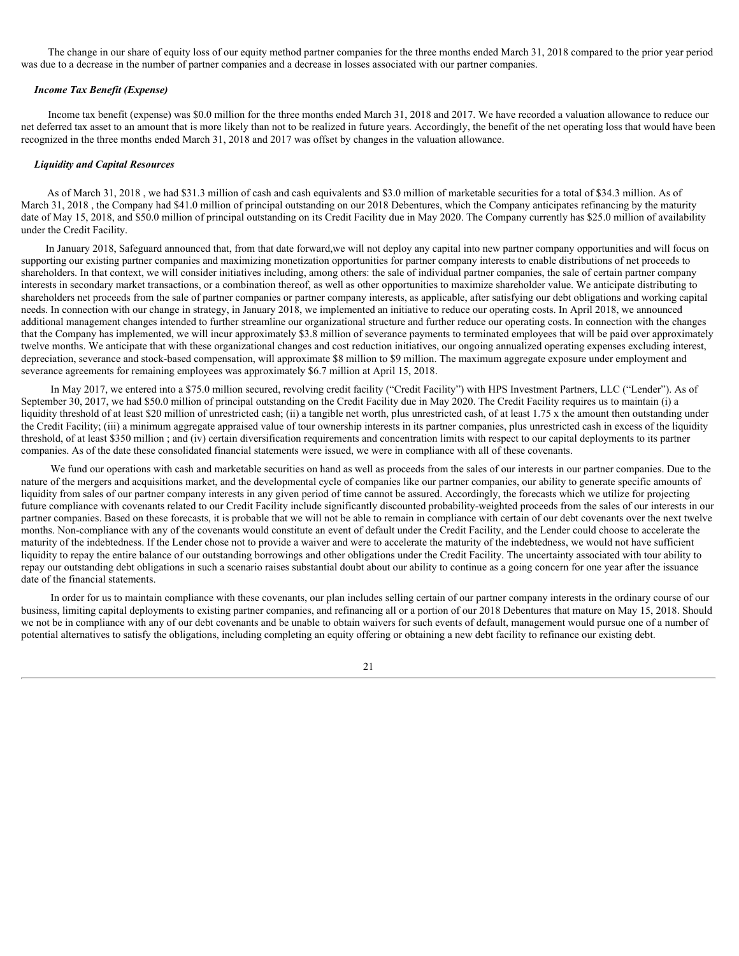The change in our share of equity loss of our equity method partner companies for the three months ended March 31, 2018 compared to the prior year period was due to a decrease in the number of partner companies and a decrease in losses associated with our partner companies.

### *Income Tax Benefit (Expense)*

Income tax benefit (expense) was \$0.0 million for the three months ended March 31, 2018 and 2017. We have recorded a valuation allowance to reduce our net deferred tax asset to an amount that is more likely than not to be realized in future years. Accordingly, the benefit of the net operating loss that would have been recognized in the three months ended March 31, 2018 and 2017 was offset by changes in the valuation allowance.

### *Liquidity and Capital Resources*

As of March 31, 2018 , we had \$31.3 million of cash and cash equivalents and \$3.0 million of marketable securities for a total of \$34.3 million. As of March 31, 2018, the Company had \$41.0 million of principal outstanding on our 2018 Debentures, which the Company anticipates refinancing by the maturity date of May 15, 2018, and \$50.0 million of principal outstanding on its Credit Facility due in May 2020. The Company currently has \$25.0 million of availability under the Credit Facility.

In January 2018, Safeguard announced that, from that date forward,we will not deploy any capital into new partner company opportunities and will focus on supporting our existing partner companies and maximizing monetization opportunities for partner company interests to enable distributions of net proceeds to shareholders. In that context, we will consider initiatives including, among others: the sale of individual partner companies, the sale of certain partner company interests in secondary market transactions, or a combination thereof, as well as other opportunities to maximize shareholder value. We anticipate distributing to shareholders net proceeds from the sale of partner companies or partner company interests, as applicable, after satisfying our debt obligations and working capital needs. In connection with our change in strategy, in January 2018, we implemented an initiative to reduce our operating costs. In April 2018, we announced additional management changes intended to further streamline our organizational structure and further reduce our operating costs. In connection with the changes that the Company has implemented, we will incur approximately \$3.8 million of severance payments to terminated employees that will be paid over approximately twelve months. We anticipate that with these organizational changes and cost reduction initiatives, our ongoing annualized operating expenses excluding interest, depreciation, severance and stock-based compensation, will approximate \$8 million to \$9 million. The maximum aggregate exposure under employment and severance agreements for remaining employees was approximately \$6.7 million at April 15, 2018.

In May 2017, we entered into a \$75.0 million secured, revolving credit facility ("Credit Facility") with HPS Investment Partners, LLC ("Lender"). As of September 30, 2017, we had \$50.0 million of principal outstanding on the Credit Facility due in May 2020. The Credit Facility requires us to maintain (i) a liquidity threshold of at least \$20 million of unrestricted cash; (ii) a tangible net worth, plus unrestricted cash, of at least 1.75 x the amount then outstanding under the Credit Facility; (iii) a minimum aggregate appraised value of tour ownership interests in its partner companies, plus unrestricted cash in excess of the liquidity threshold, of at least \$350 million ; and (iv) certain diversification requirements and concentration limits with respect to our capital deployments to its partner companies. As of the date these consolidated financial statements were issued, we were in compliance with all of these covenants.

We fund our operations with cash and marketable securities on hand as well as proceeds from the sales of our interests in our partner companies. Due to the nature of the mergers and acquisitions market, and the developmental cycle of companies like our partner companies, our ability to generate specific amounts of liquidity from sales of our partner company interests in any given period of time cannot be assured. Accordingly, the forecasts which we utilize for projecting future compliance with covenants related to our Credit Facility include significantly discounted probability-weighted proceeds from the sales of our interests in our partner companies. Based on these forecasts, it is probable that we will not be able to remain in compliance with certain of our debt covenants over the next twelve months. Non-compliance with any of the covenants would constitute an event of default under the Credit Facility, and the Lender could choose to accelerate the maturity of the indebtedness. If the Lender chose not to provide a waiver and were to accelerate the maturity of the indebtedness, we would not have sufficient liquidity to repay the entire balance of our outstanding borrowings and other obligations under the Credit Facility. The uncertainty associated with tour ability to repay our outstanding debt obligations in such a scenario raises substantial doubt about our ability to continue as a going concern for one year after the issuance date of the financial statements.

In order for us to maintain compliance with these covenants, our plan includes selling certain of our partner company interests in the ordinary course of our business, limiting capital deployments to existing partner companies, and refinancing all or a portion of our 2018 Debentures that mature on May 15, 2018. Should we not be in compliance with any of our debt covenants and be unable to obtain waivers for such events of default, management would pursue one of a number of potential alternatives to satisfy the obligations, including completing an equity offering or obtaining a new debt facility to refinance our existing debt.

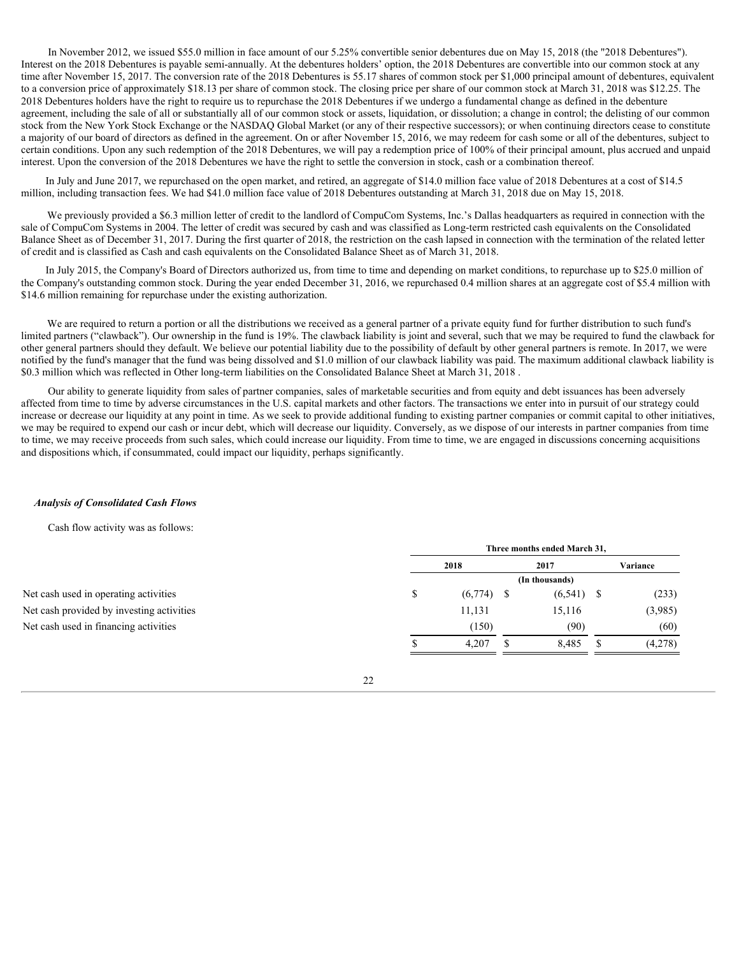In November 2012, we issued \$55.0 million in face amount of our 5.25% convertible senior debentures due on May 15, 2018 (the "2018 Debentures"). Interest on the 2018 Debentures is payable semi-annually. At the debentures holders' option, the 2018 Debentures are convertible into our common stock at any time after November 15, 2017. The conversion rate of the 2018 Debentures is 55.17 shares of common stock per \$1,000 principal amount of debentures, equivalent to a conversion price of approximately \$18.13 per share of common stock. The closing price per share of our common stock at March 31, 2018 was \$12.25. The 2018 Debentures holders have the right to require us to repurchase the 2018 Debentures if we undergo a fundamental change as defined in the debenture agreement, including the sale of all or substantially all of our common stock or assets, liquidation, or dissolution; a change in control; the delisting of our common stock from the New York Stock Exchange or the NASDAQ Global Market (or any of their respective successors); or when continuing directors cease to constitute a majority of our board of directors as defined in the agreement. On or after November 15, 2016, we may redeem for cash some or all of the debentures, subject to certain conditions. Upon any such redemption of the 2018 Debentures, we will pay a redemption price of 100% of their principal amount, plus accrued and unpaid interest. Upon the conversion of the 2018 Debentures we have the right to settle the conversion in stock, cash or a combination thereof.

In July and June 2017, we repurchased on the open market, and retired, an aggregate of \$14.0 million face value of 2018 Debentures at a cost of \$14.5 million, including transaction fees. We had \$41.0 million face value of 2018 Debentures outstanding at March 31, 2018 due on May 15, 2018.

We previously provided a \$6.3 million letter of credit to the landlord of CompuCom Systems, Inc.'s Dallas headquarters as required in connection with the sale of CompuCom Systems in 2004. The letter of credit was secured by cash and was classified as Long-term restricted cash equivalents on the Consolidated Balance Sheet as of December 31, 2017. During the first quarter of 2018, the restriction on the cash lapsed in connection with the termination of the related letter of credit and is classified as Cash and cash equivalents on the Consolidated Balance Sheet as of March 31, 2018.

In July 2015, the Company's Board of Directors authorized us, from time to time and depending on market conditions, to repurchase up to \$25.0 million of the Company's outstanding common stock. During the year ended December 31, 2016, we repurchased 0.4 million shares at an aggregate cost of \$5.4 million with \$14.6 million remaining for repurchase under the existing authorization.

We are required to return a portion or all the distributions we received as a general partner of a private equity fund for further distribution to such fund's limited partners ("clawback"). Our ownership in the fund is 19%. The clawback liability is joint and several, such that we may be required to fund the clawback for other general partners should they default. We believe our potential liability due to the possibility of default by other general partners is remote. In 2017, we were notified by the fund's manager that the fund was being dissolved and \$1.0 million of our clawback liability was paid. The maximum additional clawback liability is \$0.3 million which was reflected in Other long-term liabilities on the Consolidated Balance Sheet at March 31, 2018 .

Our ability to generate liquidity from sales of partner companies, sales of marketable securities and from equity and debt issuances has been adversely affected from time to time by adverse circumstances in the U.S. capital markets and other factors. The transactions we enter into in pursuit of our strategy could increase or decrease our liquidity at any point in time. As we seek to provide additional funding to existing partner companies or commit capital to other initiatives, we may be required to expend our cash or incur debt, which will decrease our liquidity. Conversely, as we dispose of our interests in partner companies from time to time, we may receive proceeds from such sales, which could increase our liquidity. From time to time, we are engaged in discussions concerning acquisitions and dispositions which, if consummated, could impact our liquidity, perhaps significantly.

### *Analysis of Consolidated Cash Flows*

Cash flow activity was as follows:

|                                           |                | Three months ended March 31, |  |              |  |          |  |
|-------------------------------------------|----------------|------------------------------|--|--------------|--|----------|--|
|                                           |                | 2018                         |  | 2017         |  | Variance |  |
|                                           | (In thousands) |                              |  |              |  |          |  |
| Net cash used in operating activities     |                | (6,774)                      |  | $(6,541)$ \$ |  | (233)    |  |
| Net cash provided by investing activities |                | 11,131                       |  | 15,116       |  | (3,985)  |  |
| Net cash used in financing activities     |                | (150)                        |  | (90)         |  | (60)     |  |
|                                           |                | 4,207                        |  | 8,485        |  | (4,278)  |  |
|                                           |                |                              |  |              |  |          |  |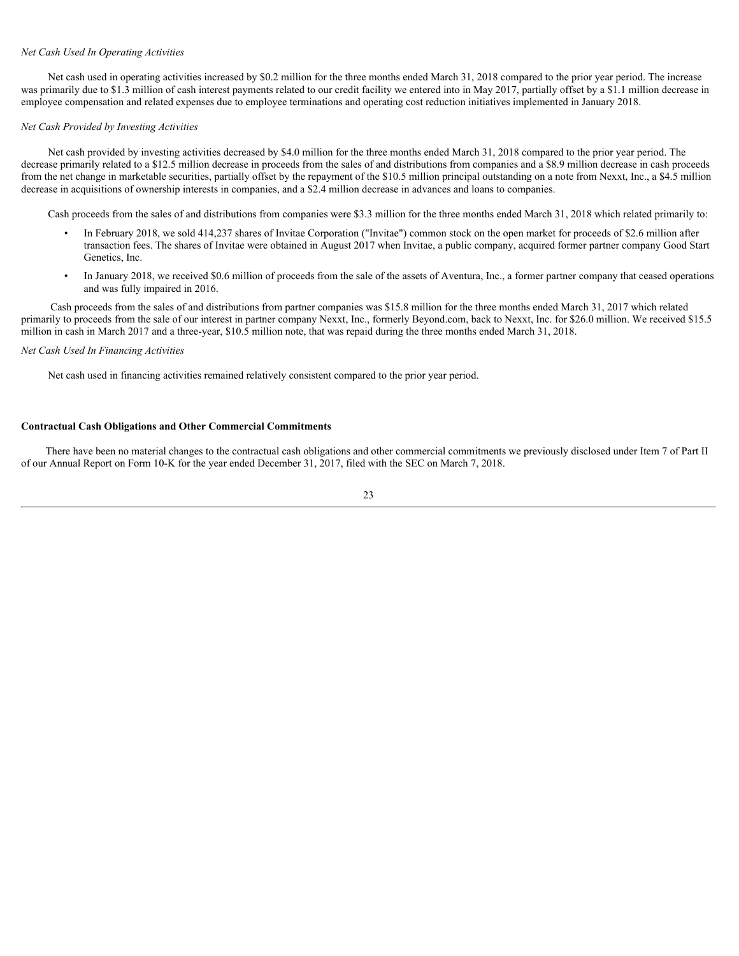# *Net Cash Used In Operating Activities*

Net cash used in operating activities increased by \$0.2 million for the three months ended March 31, 2018 compared to the prior year period. The increase was primarily due to \$1.3 million of cash interest payments related to our credit facility we entered into in May 2017, partially offset by a \$1.1 million decrease in employee compensation and related expenses due to employee terminations and operating cost reduction initiatives implemented in January 2018.

### *Net Cash Provided by Investing Activities*

Net cash provided by investing activities decreased by \$4.0 million for the three months ended March 31, 2018 compared to the prior year period. The decrease primarily related to a \$12.5 million decrease in proceeds from the sales of and distributions from companies and a \$8.9 million decrease in cash proceeds from the net change in marketable securities, partially offset by the repayment of the \$10.5 million principal outstanding on a note from Nexxt, Inc., a \$4.5 million decrease in acquisitions of ownership interests in companies, and a \$2.4 million decrease in advances and loans to companies.

Cash proceeds from the sales of and distributions from companies were \$3.3 million for the three months ended March 31, 2018 which related primarily to:

- In February 2018, we sold 414,237 shares of Invitae Corporation ("Invitae") common stock on the open market for proceeds of \$2.6 million after transaction fees. The shares of Invitae were obtained in August 2017 when Invitae, a public company, acquired former partner company Good Start Genetics, Inc.
- In January 2018, we received \$0.6 million of proceeds from the sale of the assets of Aventura, Inc., a former partner company that ceased operations and was fully impaired in 2016.

Cash proceeds from the sales of and distributions from partner companies was \$15.8 million for the three months ended March 31, 2017 which related primarily to proceeds from the sale of our interest in partner company Nexxt, Inc., formerly Beyond.com, back to Nexxt, Inc. for \$26.0 million. We received \$15.5 million in cash in March 2017 and a three-year, \$10.5 million note, that was repaid during the three months ended March 31, 2018.

### *Net Cash Used In Financing Activities*

Net cash used in financing activities remained relatively consistent compared to the prior year period.

### **Contractual Cash Obligations and Other Commercial Commitments**

There have been no material changes to the contractual cash obligations and other commercial commitments we previously disclosed under Item 7 of Part II of our Annual Report on Form 10-K for the year ended December 31, 2017, filed with the SEC on March 7, 2018.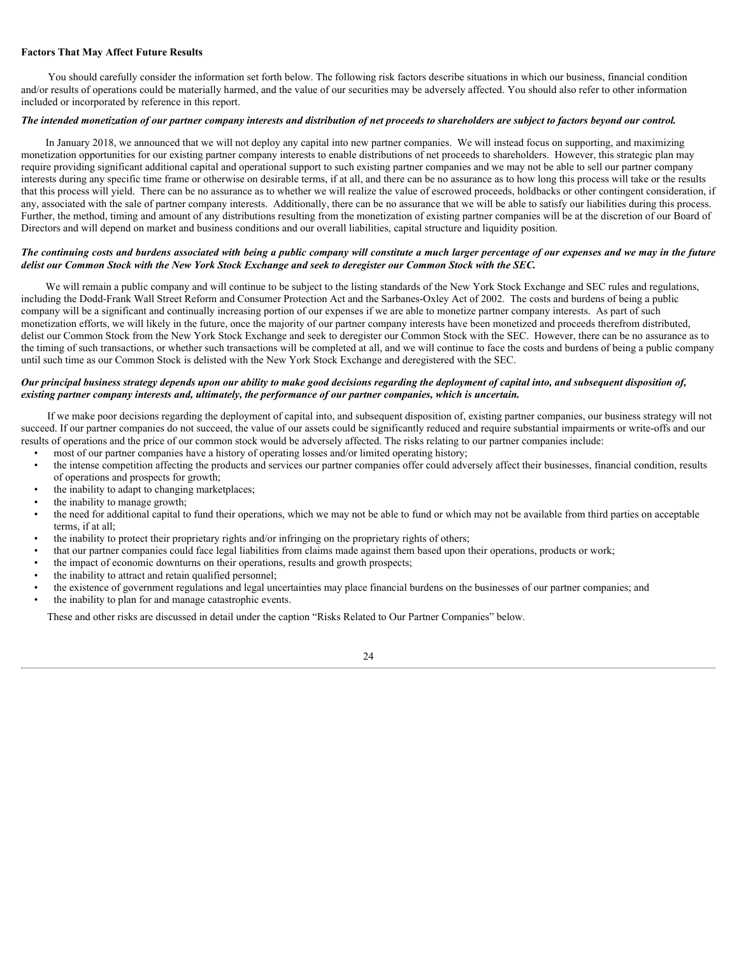# **Factors That May Affect Future Results**

You should carefully consider the information set forth below. The following risk factors describe situations in which our business, financial condition and/or results of operations could be materially harmed, and the value of our securities may be adversely affected. You should also refer to other information included or incorporated by reference in this report.

# *The intended monetization of our partner company interests and distribution of net proceeds to shareholders are subject to factors beyond our control.*

In January 2018, we announced that we will not deploy any capital into new partner companies. We will instead focus on supporting, and maximizing monetization opportunities for our existing partner company interests to enable distributions of net proceeds to shareholders. However, this strategic plan may require providing significant additional capital and operational support to such existing partner companies and we may not be able to sell our partner company interests during any specific time frame or otherwise on desirable terms, if at all, and there can be no assurance as to how long this process will take or the results that this process will yield. There can be no assurance as to whether we will realize the value of escrowed proceeds, holdbacks or other contingent consideration, if any, associated with the sale of partner company interests. Additionally, there can be no assurance that we will be able to satisfy our liabilities during this process. Further, the method, timing and amount of any distributions resulting from the monetization of existing partner companies will be at the discretion of our Board of Directors and will depend on market and business conditions and our overall liabilities, capital structure and liquidity position.

### *The continuing costs and burdens associated with being a public company will constitute a much larger percentage of our expenses and we may in the future delist our Common Stock with the New York Stock Exchange and seek to deregister our Common Stock with the SEC.*

We will remain a public company and will continue to be subject to the listing standards of the New York Stock Exchange and SEC rules and regulations, including the Dodd-Frank Wall Street Reform and Consumer Protection Act and the Sarbanes-Oxley Act of 2002. The costs and burdens of being a public company will be a significant and continually increasing portion of our expenses if we are able to monetize partner company interests. As part of such monetization efforts, we will likely in the future, once the majority of our partner company interests have been monetized and proceeds therefrom distributed, delist our Common Stock from the New York Stock Exchange and seek to deregister our Common Stock with the SEC. However, there can be no assurance as to the timing of such transactions, or whether such transactions will be completed at all, and we will continue to face the costs and burdens of being a public company until such time as our Common Stock is delisted with the New York Stock Exchange and deregistered with the SEC.

### *Our principal business strategy depends upon our ability to make good decisions regarding the deployment of capital into, and subsequent disposition of, existing partner company interests and, ultimately, the performance of our partner companies, which is uncertain.*

If we make poor decisions regarding the deployment of capital into, and subsequent disposition of, existing partner companies, our business strategy will not succeed. If our partner companies do not succeed, the value of our assets could be significantly reduced and require substantial impairments or write-offs and our results of operations and the price of our common stock would be adversely affected. The risks relating to our partner companies include:

- most of our partner companies have a history of operating losses and/or limited operating history;
- the intense competition affecting the products and services our partner companies offer could adversely affect their businesses, financial condition, results of operations and prospects for growth;
- the inability to adapt to changing marketplaces;
- the inability to manage growth;
- the need for additional capital to fund their operations, which we may not be able to fund or which may not be available from third parties on acceptable terms, if at all;
- the inability to protect their proprietary rights and/or infringing on the proprietary rights of others;
- that our partner companies could face legal liabilities from claims made against them based upon their operations, products or work;
- the impact of economic downturns on their operations, results and growth prospects;
- the inability to attract and retain qualified personnel;
- the existence of government regulations and legal uncertainties may place financial burdens on the businesses of our partner companies; and
- the inability to plan for and manage catastrophic events.

These and other risks are discussed in detail under the caption "Risks Related to Our Partner Companies" below.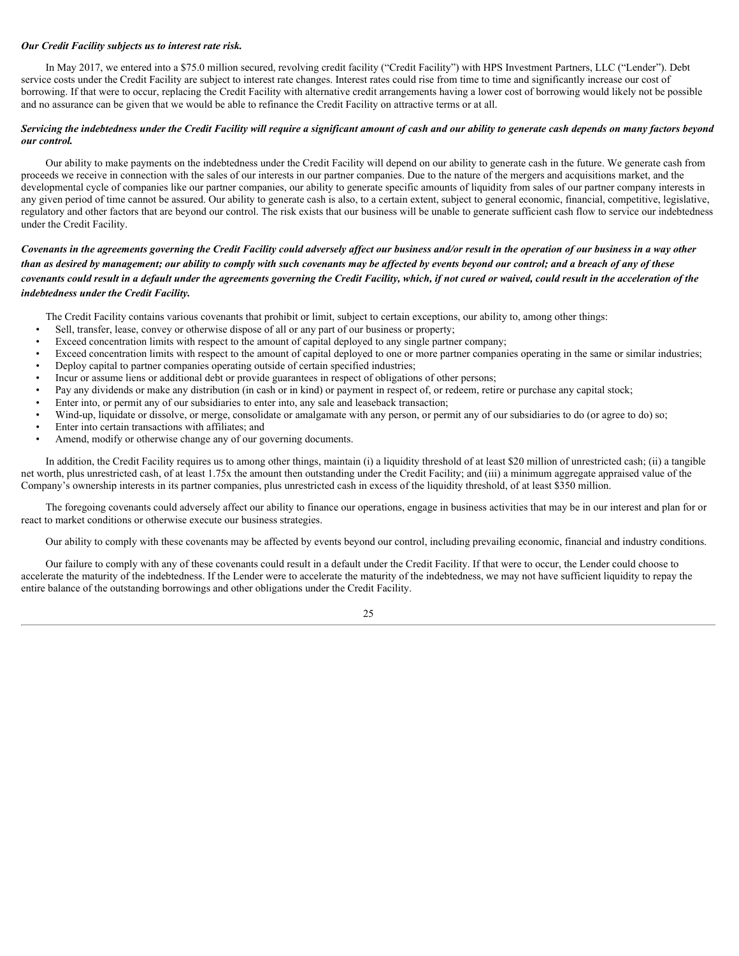# *Our Credit Facility subjects us to interest rate risk.*

In May 2017, we entered into a \$75.0 million secured, revolving credit facility ("Credit Facility") with HPS Investment Partners, LLC ("Lender"). Debt service costs under the Credit Facility are subject to interest rate changes. Interest rates could rise from time to time and significantly increase our cost of borrowing. If that were to occur, replacing the Credit Facility with alternative credit arrangements having a lower cost of borrowing would likely not be possible and no assurance can be given that we would be able to refinance the Credit Facility on attractive terms or at all.

### *Servicing the indebtedness under the Credit Facility will require a significant amount of cash and our ability to generate cash depends on many factors beyond our control.*

Our ability to make payments on the indebtedness under the Credit Facility will depend on our ability to generate cash in the future. We generate cash from proceeds we receive in connection with the sales of our interests in our partner companies. Due to the nature of the mergers and acquisitions market, and the developmental cycle of companies like our partner companies, our ability to generate specific amounts of liquidity from sales of our partner company interests in any given period of time cannot be assured. Our ability to generate cash is also, to a certain extent, subject to general economic, financial, competitive, legislative, regulatory and other factors that are beyond our control. The risk exists that our business will be unable to generate sufficient cash flow to service our indebtedness under the Credit Facility.

# *Covenants in the agreements governing the Credit Facility could adversely affect our business and/or result in the operation of our business in a way other than as desired by management; our ability to comply with such covenants may be affected by events beyond our control; and a breach of any of these covenants could result in a default under the agreements governing the Credit Facility, which, if not cured or waived, could result in the acceleration of the indebtedness under the Credit Facility.*

The Credit Facility contains various covenants that prohibit or limit, subject to certain exceptions, our ability to, among other things:

- Sell, transfer, lease, convey or otherwise dispose of all or any part of our business or property;
- Exceed concentration limits with respect to the amount of capital deployed to any single partner company;
- Exceed concentration limits with respect to the amount of capital deployed to one or more partner companies operating in the same or similar industries;
- Deploy capital to partner companies operating outside of certain specified industries;
- Incur or assume liens or additional debt or provide guarantees in respect of obligations of other persons;
- Pay any dividends or make any distribution (in cash or in kind) or payment in respect of, or redeem, retire or purchase any capital stock;
- Enter into, or permit any of our subsidiaries to enter into, any sale and leaseback transaction;
- Wind-up, liquidate or dissolve, or merge, consolidate or amalgamate with any person, or permit any of our subsidiaries to do (or agree to do) so;
- Enter into certain transactions with affiliates; and
- Amend, modify or otherwise change any of our governing documents.

In addition, the Credit Facility requires us to among other things, maintain (i) a liquidity threshold of at least \$20 million of unrestricted cash; (ii) a tangible net worth, plus unrestricted cash, of at least 1.75x the amount then outstanding under the Credit Facility; and (iii) a minimum aggregate appraised value of the Company's ownership interests in its partner companies, plus unrestricted cash in excess of the liquidity threshold, of at least \$350 million.

The foregoing covenants could adversely affect our ability to finance our operations, engage in business activities that may be in our interest and plan for or react to market conditions or otherwise execute our business strategies.

Our ability to comply with these covenants may be affected by events beyond our control, including prevailing economic, financial and industry conditions.

Our failure to comply with any of these covenants could result in a default under the Credit Facility. If that were to occur, the Lender could choose to accelerate the maturity of the indebtedness. If the Lender were to accelerate the maturity of the indebtedness, we may not have sufficient liquidity to repay the entire balance of the outstanding borrowings and other obligations under the Credit Facility.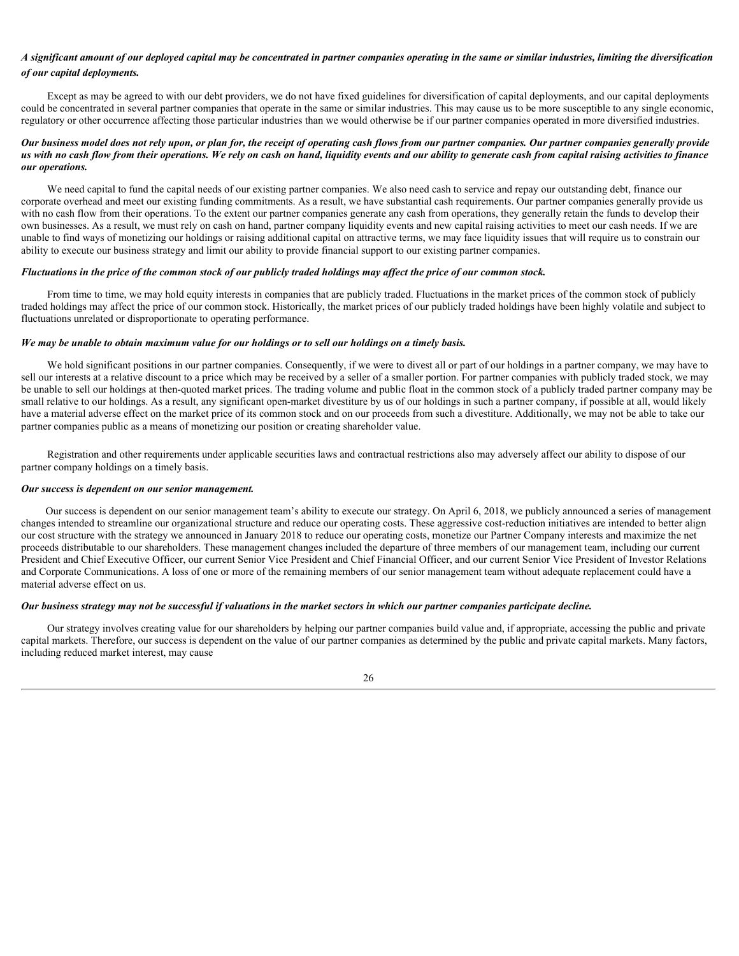# *A significant amount of our deployed capital may be concentrated in partner companies operating in the same or similar industries, limiting the diversification of our capital deployments.*

Except as may be agreed to with our debt providers, we do not have fixed guidelines for diversification of capital deployments, and our capital deployments could be concentrated in several partner companies that operate in the same or similar industries. This may cause us to be more susceptible to any single economic, regulatory or other occurrence affecting those particular industries than we would otherwise be if our partner companies operated in more diversified industries.

# *Our business model does not rely upon, or plan for, the receipt of operating cash flows from our partner companies. Our partner companies generally provide us with no cash flow from their operations. We rely on cash on hand, liquidity events and our ability to generate cash from capital raising activities to finance our operations.*

We need capital to fund the capital needs of our existing partner companies. We also need cash to service and repay our outstanding debt, finance our corporate overhead and meet our existing funding commitments. As a result, we have substantial cash requirements. Our partner companies generally provide us with no cash flow from their operations. To the extent our partner companies generate any cash from operations, they generally retain the funds to develop their own businesses. As a result, we must rely on cash on hand, partner company liquidity events and new capital raising activities to meet our cash needs. If we are unable to find ways of monetizing our holdings or raising additional capital on attractive terms, we may face liquidity issues that will require us to constrain our ability to execute our business strategy and limit our ability to provide financial support to our existing partner companies.

### *Fluctuations in the price of the common stock of our publicly traded holdings may affect the price of our common stock.*

From time to time, we may hold equity interests in companies that are publicly traded. Fluctuations in the market prices of the common stock of publicly traded holdings may affect the price of our common stock. Historically, the market prices of our publicly traded holdings have been highly volatile and subject to fluctuations unrelated or disproportionate to operating performance.

### *We may be unable to obtain maximum value for our holdings or to sell our holdings on a timely basis.*

We hold significant positions in our partner companies. Consequently, if we were to divest all or part of our holdings in a partner company, we may have to sell our interests at a relative discount to a price which may be received by a seller of a smaller portion. For partner companies with publicly traded stock, we may be unable to sell our holdings at then-quoted market prices. The trading volume and public float in the common stock of a publicly traded partner company may be small relative to our holdings. As a result, any significant open-market divestiture by us of our holdings in such a partner company, if possible at all, would likely have a material adverse effect on the market price of its common stock and on our proceeds from such a divestiture. Additionally, we may not be able to take our partner companies public as a means of monetizing our position or creating shareholder value.

Registration and other requirements under applicable securities laws and contractual restrictions also may adversely affect our ability to dispose of our partner company holdings on a timely basis.

### *Our success is dependent on our senior management.*

Our success is dependent on our senior management team's ability to execute our strategy. On April 6, 2018, we publicly announced a series of management changes intended to streamline our organizational structure and reduce our operating costs. These aggressive cost-reduction initiatives are intended to better align our cost structure with the strategy we announced in January 2018 to reduce our operating costs, monetize our Partner Company interests and maximize the net proceeds distributable to our shareholders. These management changes included the departure of three members of our management team, including our current President and Chief Executive Officer, our current Senior Vice President and Chief Financial Officer, and our current Senior Vice President of Investor Relations and Corporate Communications. A loss of one or more of the remaining members of our senior management team without adequate replacement could have a material adverse effect on us.

### *Our business strategy may not be successful if valuations in the market sectors in which our partner companies participate decline.*

Our strategy involves creating value for our shareholders by helping our partner companies build value and, if appropriate, accessing the public and private capital markets. Therefore, our success is dependent on the value of our partner companies as determined by the public and private capital markets. Many factors, including reduced market interest, may cause

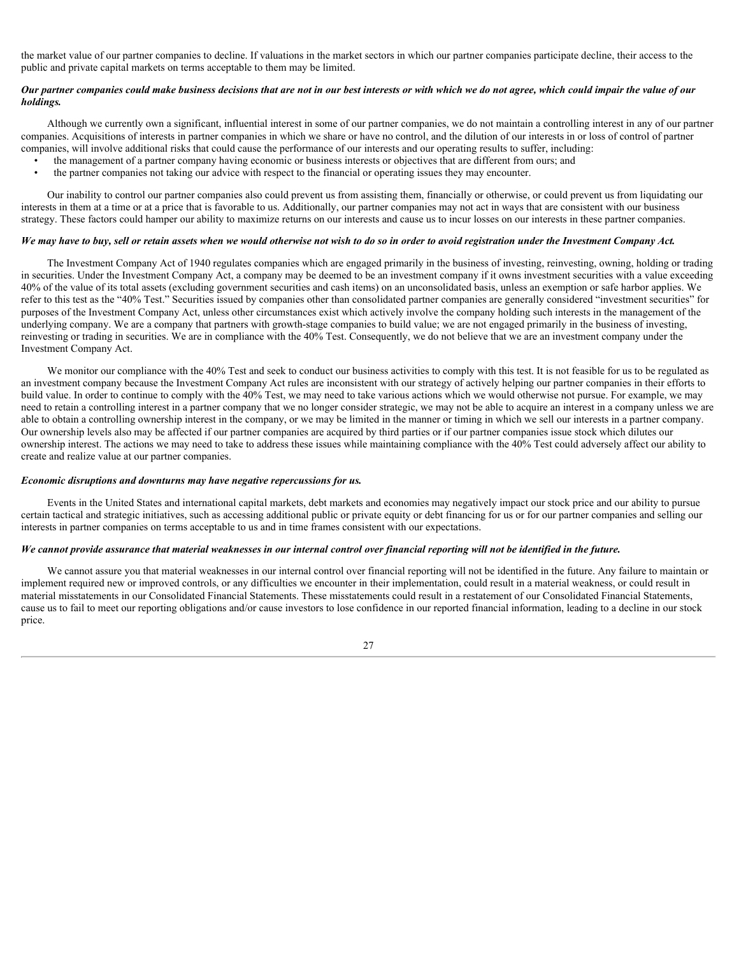the market value of our partner companies to decline. If valuations in the market sectors in which our partner companies participate decline, their access to the public and private capital markets on terms acceptable to them may be limited.

# *Our partner companies could make business decisions that are not in our best interests or with which we do not agree, which could impair the value of our holdings.*

Although we currently own a significant, influential interest in some of our partner companies, we do not maintain a controlling interest in any of our partner companies. Acquisitions of interests in partner companies in which we share or have no control, and the dilution of our interests in or loss of control of partner companies, will involve additional risks that could cause the performance of our interests and our operating results to suffer, including:

- the management of a partner company having economic or business interests or objectives that are different from ours; and
- the partner companies not taking our advice with respect to the financial or operating issues they may encounter.

Our inability to control our partner companies also could prevent us from assisting them, financially or otherwise, or could prevent us from liquidating our interests in them at a time or at a price that is favorable to us. Additionally, our partner companies may not act in ways that are consistent with our business strategy. These factors could hamper our ability to maximize returns on our interests and cause us to incur losses on our interests in these partner companies.

### *We may have to buy, sell or retain assets when we would otherwise not wish to do so in order to avoid registration under the Investment Company Act.*

The Investment Company Act of 1940 regulates companies which are engaged primarily in the business of investing, reinvesting, owning, holding or trading in securities. Under the Investment Company Act, a company may be deemed to be an investment company if it owns investment securities with a value exceeding 40% of the value of its total assets (excluding government securities and cash items) on an unconsolidated basis, unless an exemption or safe harbor applies. We refer to this test as the "40% Test." Securities issued by companies other than consolidated partner companies are generally considered "investment securities" for purposes of the Investment Company Act, unless other circumstances exist which actively involve the company holding such interests in the management of the underlying company. We are a company that partners with growth-stage companies to build value; we are not engaged primarily in the business of investing, reinvesting or trading in securities. We are in compliance with the 40% Test. Consequently, we do not believe that we are an investment company under the Investment Company Act.

We monitor our compliance with the 40% Test and seek to conduct our business activities to comply with this test. It is not feasible for us to be regulated as an investment company because the Investment Company Act rules are inconsistent with our strategy of actively helping our partner companies in their efforts to build value. In order to continue to comply with the 40% Test, we may need to take various actions which we would otherwise not pursue. For example, we may need to retain a controlling interest in a partner company that we no longer consider strategic, we may not be able to acquire an interest in a company unless we are able to obtain a controlling ownership interest in the company, or we may be limited in the manner or timing in which we sell our interests in a partner company. Our ownership levels also may be affected if our partner companies are acquired by third parties or if our partner companies issue stock which dilutes our ownership interest. The actions we may need to take to address these issues while maintaining compliance with the 40% Test could adversely affect our ability to create and realize value at our partner companies.

#### *Economic disruptions and downturns may have negative repercussions for us.*

Events in the United States and international capital markets, debt markets and economies may negatively impact our stock price and our ability to pursue certain tactical and strategic initiatives, such as accessing additional public or private equity or debt financing for us or for our partner companies and selling our interests in partner companies on terms acceptable to us and in time frames consistent with our expectations.

### *We cannot provide assurance that material weaknesses in our internal control over financial reporting will not be identified in the future.*

We cannot assure you that material weaknesses in our internal control over financial reporting will not be identified in the future. Any failure to maintain or implement required new or improved controls, or any difficulties we encounter in their implementation, could result in a material weakness, or could result in material misstatements in our Consolidated Financial Statements. These misstatements could result in a restatement of our Consolidated Financial Statements, cause us to fail to meet our reporting obligations and/or cause investors to lose confidence in our reported financial information, leading to a decline in our stock price.

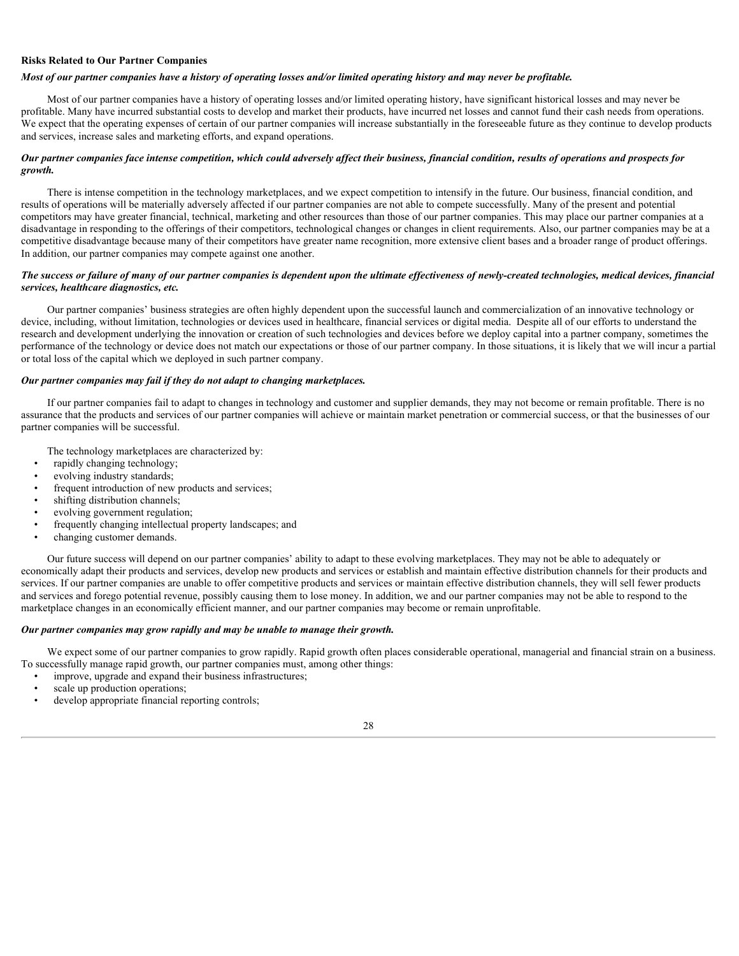# **Risks Related to Our Partner Companies**

### *Most of our partner companies have a history of operating losses and/or limited operating history and may never be profitable.*

Most of our partner companies have a history of operating losses and/or limited operating history, have significant historical losses and may never be profitable. Many have incurred substantial costs to develop and market their products, have incurred net losses and cannot fund their cash needs from operations. We expect that the operating expenses of certain of our partner companies will increase substantially in the foreseeable future as they continue to develop products and services, increase sales and marketing efforts, and expand operations.

# *Our partner companies face intense competition, which could adversely affect their business, financial condition, results of operations and prospects for growth.*

There is intense competition in the technology marketplaces, and we expect competition to intensify in the future. Our business, financial condition, and results of operations will be materially adversely affected if our partner companies are not able to compete successfully. Many of the present and potential competitors may have greater financial, technical, marketing and other resources than those of our partner companies. This may place our partner companies at a disadvantage in responding to the offerings of their competitors, technological changes or changes in client requirements. Also, our partner companies may be at a competitive disadvantage because many of their competitors have greater name recognition, more extensive client bases and a broader range of product offerings. In addition, our partner companies may compete against one another.

# *The success or failure of many of our partner companies is dependent upon the ultimate effectiveness of newly-created technologies, medical devices, financial services, healthcare diagnostics, etc.*

Our partner companies' business strategies are often highly dependent upon the successful launch and commercialization of an innovative technology or device, including, without limitation, technologies or devices used in healthcare, financial services or digital media. Despite all of our efforts to understand the research and development underlying the innovation or creation of such technologies and devices before we deploy capital into a partner company, sometimes the performance of the technology or device does not match our expectations or those of our partner company. In those situations, it is likely that we will incur a partial or total loss of the capital which we deployed in such partner company.

### *Our partner companies may fail if they do not adapt to changing marketplaces.*

If our partner companies fail to adapt to changes in technology and customer and supplier demands, they may not become or remain profitable. There is no assurance that the products and services of our partner companies will achieve or maintain market penetration or commercial success, or that the businesses of our partner companies will be successful.

The technology marketplaces are characterized by:

- rapidly changing technology;
- evolving industry standards;
- frequent introduction of new products and services;
- shifting distribution channels;
- evolving government regulation;
- frequently changing intellectual property landscapes; and
- changing customer demands.

Our future success will depend on our partner companies' ability to adapt to these evolving marketplaces. They may not be able to adequately or economically adapt their products and services, develop new products and services or establish and maintain effective distribution channels for their products and services. If our partner companies are unable to offer competitive products and services or maintain effective distribution channels, they will sell fewer products and services and forego potential revenue, possibly causing them to lose money. In addition, we and our partner companies may not be able to respond to the marketplace changes in an economically efficient manner, and our partner companies may become or remain unprofitable.

### *Our partner companies may grow rapidly and may be unable to manage their growth.*

We expect some of our partner companies to grow rapidly. Rapid growth often places considerable operational, managerial and financial strain on a business. To successfully manage rapid growth, our partner companies must, among other things:

- improve, upgrade and expand their business infrastructures;
- scale up production operations;
- develop appropriate financial reporting controls;

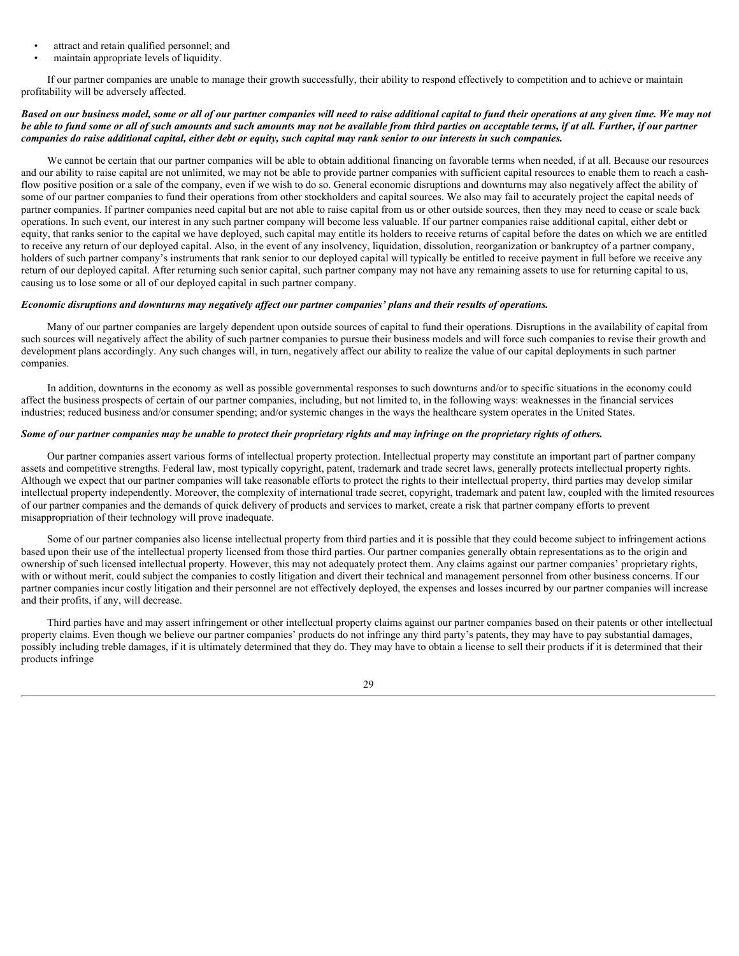- attract and retain qualified personnel; and
- maintain appropriate levels of liquidity.

If our partner companies are unable to manage their growth successfully, their ability to respond effectively to competition and to achieve or maintain profitability will be adversely affected.

### *Based on our business model, some or all of our partner companies will need to raise additional capital to fund their operations at any given time. We may not be able to fund some or all of such amounts and such amounts may not be available from third parties on acceptable terms, if at all. Further, if our partner companies do raise additional capital, either debt or equity, such capital may rank senior to our interests in such companies.*

We cannot be certain that our partner companies will be able to obtain additional financing on favorable terms when needed, if at all. Because our resources and our ability to raise capital are not unlimited, we may not be able to provide partner companies with sufficient capital resources to enable them to reach a cashflow positive position or a sale of the company, even if we wish to do so. General economic disruptions and downturns may also negatively affect the ability of some of our partner companies to fund their operations from other stockholders and capital sources. We also may fail to accurately project the capital needs of partner companies. If partner companies need capital but are not able to raise capital from us or other outside sources, then they may need to cease or scale back operations. In such event, our interest in any such partner company will become less valuable. If our partner companies raise additional capital, either debt or equity, that ranks senior to the capital we have deployed, such capital may entitle its holders to receive returns of capital before the dates on which we are entitled to receive any return of our deployed capital. Also, in the event of any insolvency, liquidation, dissolution, reorganization or bankruptcy of a partner company, holders of such partner company's instruments that rank senior to our deployed capital will typically be entitled to receive payment in full before we receive any return of our deployed capital. After returning such senior capital, such partner company may not have any remaining assets to use for returning capital to us, causing us to lose some or all of our deployed capital in such partner company.

# *Economic disruptions and downturns may negatively affect our partner companies' plans and their results of operations.*

Many of our partner companies are largely dependent upon outside sources of capital to fund their operations. Disruptions in the availability of capital from such sources will negatively affect the ability of such partner companies to pursue their business models and will force such companies to revise their growth and development plans accordingly. Any such changes will, in turn, negatively affect our ability to realize the value of our capital deployments in such partner companies.

In addition, downturns in the economy as well as possible governmental responses to such downturns and/or to specific situations in the economy could affect the business prospects of certain of our partner companies, including, but not limited to, in the following ways: weaknesses in the financial services industries; reduced business and/or consumer spending; and/or systemic changes in the ways the healthcare system operates in the United States.

### *Some of our partner companies may be unable to protect their proprietary rights and may infringe on the proprietary rights of others.*

Our partner companies assert various forms of intellectual property protection. Intellectual property may constitute an important part of partner company assets and competitive strengths. Federal law, most typically copyright, patent, trademark and trade secret laws, generally protects intellectual property rights. Although we expect that our partner companies will take reasonable efforts to protect the rights to their intellectual property, third parties may develop similar intellectual property independently. Moreover, the complexity of international trade secret, copyright, trademark and patent law, coupled with the limited resources of our partner companies and the demands of quick delivery of products and services to market, create a risk that partner company efforts to prevent misappropriation of their technology will prove inadequate.

Some of our partner companies also license intellectual property from third parties and it is possible that they could become subject to infringement actions based upon their use of the intellectual property licensed from those third parties. Our partner companies generally obtain representations as to the origin and ownership of such licensed intellectual property. However, this may not adequately protect them. Any claims against our partner companies' proprietary rights, with or without merit, could subject the companies to costly litigation and divert their technical and management personnel from other business concerns. If our partner companies incur costly litigation and their personnel are not effectively deployed, the expenses and losses incurred by our partner companies will increase and their profits, if any, will decrease.

Third parties have and may assert infringement or other intellectual property claims against our partner companies based on their patents or other intellectual property claims. Even though we believe our partner companies' products do not infringe any third party's patents, they may have to pay substantial damages, possibly including treble damages, if it is ultimately determined that they do. They may have to obtain a license to sell their products if it is determined that their products infringe

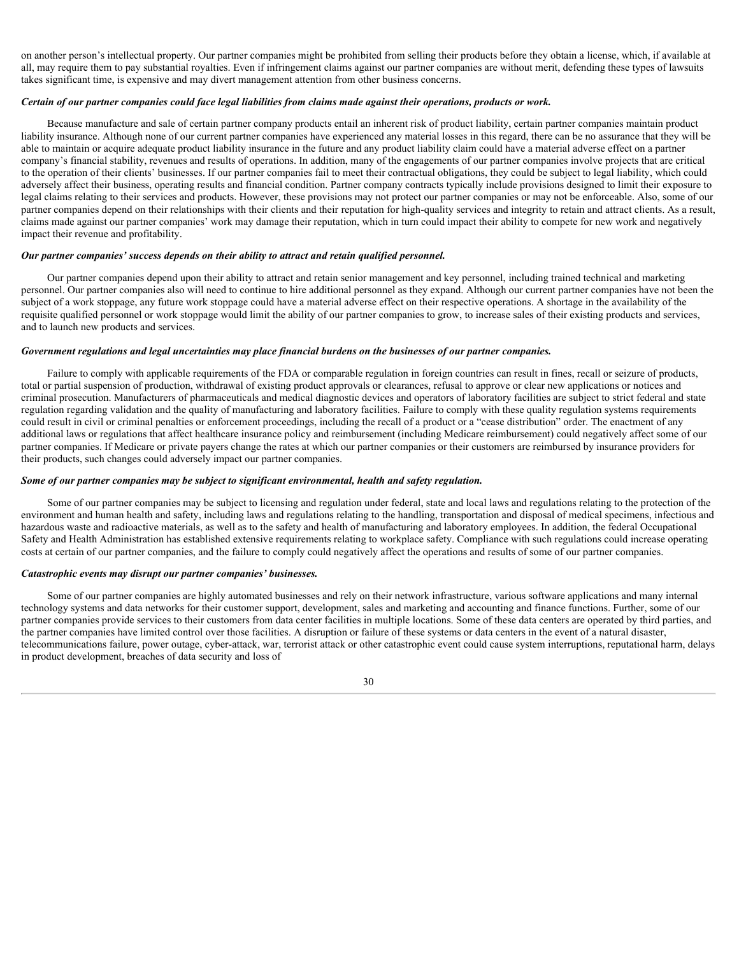on another person's intellectual property. Our partner companies might be prohibited from selling their products before they obtain a license, which, if available at all, may require them to pay substantial royalties. Even if infringement claims against our partner companies are without merit, defending these types of lawsuits takes significant time, is expensive and may divert management attention from other business concerns.

### *Certain of our partner companies could face legal liabilities from claims made against their operations, products or work.*

Because manufacture and sale of certain partner company products entail an inherent risk of product liability, certain partner companies maintain product liability insurance. Although none of our current partner companies have experienced any material losses in this regard, there can be no assurance that they will be able to maintain or acquire adequate product liability insurance in the future and any product liability claim could have a material adverse effect on a partner company's financial stability, revenues and results of operations. In addition, many of the engagements of our partner companies involve projects that are critical to the operation of their clients' businesses. If our partner companies fail to meet their contractual obligations, they could be subject to legal liability, which could adversely affect their business, operating results and financial condition. Partner company contracts typically include provisions designed to limit their exposure to legal claims relating to their services and products. However, these provisions may not protect our partner companies or may not be enforceable. Also, some of our partner companies depend on their relationships with their clients and their reputation for high-quality services and integrity to retain and attract clients. As a result, claims made against our partner companies' work may damage their reputation, which in turn could impact their ability to compete for new work and negatively impact their revenue and profitability.

### *Our partner companies' success depends on their ability to attract and retain qualified personnel.*

Our partner companies depend upon their ability to attract and retain senior management and key personnel, including trained technical and marketing personnel. Our partner companies also will need to continue to hire additional personnel as they expand. Although our current partner companies have not been the subject of a work stoppage, any future work stoppage could have a material adverse effect on their respective operations. A shortage in the availability of the requisite qualified personnel or work stoppage would limit the ability of our partner companies to grow, to increase sales of their existing products and services, and to launch new products and services.

# *Government regulations and legal uncertainties may place financial burdens on the businesses of our partner companies.*

Failure to comply with applicable requirements of the FDA or comparable regulation in foreign countries can result in fines, recall or seizure of products, total or partial suspension of production, withdrawal of existing product approvals or clearances, refusal to approve or clear new applications or notices and criminal prosecution. Manufacturers of pharmaceuticals and medical diagnostic devices and operators of laboratory facilities are subject to strict federal and state regulation regarding validation and the quality of manufacturing and laboratory facilities. Failure to comply with these quality regulation systems requirements could result in civil or criminal penalties or enforcement proceedings, including the recall of a product or a "cease distribution" order. The enactment of any additional laws or regulations that affect healthcare insurance policy and reimbursement (including Medicare reimbursement) could negatively affect some of our partner companies. If Medicare or private payers change the rates at which our partner companies or their customers are reimbursed by insurance providers for their products, such changes could adversely impact our partner companies.

### *Some of our partner companies may be subject to significant environmental, health and safety regulation.*

Some of our partner companies may be subject to licensing and regulation under federal, state and local laws and regulations relating to the protection of the environment and human health and safety, including laws and regulations relating to the handling, transportation and disposal of medical specimens, infectious and hazardous waste and radioactive materials, as well as to the safety and health of manufacturing and laboratory employees. In addition, the federal Occupational Safety and Health Administration has established extensive requirements relating to workplace safety. Compliance with such regulations could increase operating costs at certain of our partner companies, and the failure to comply could negatively affect the operations and results of some of our partner companies.

### *Catastrophic events may disrupt our partner companies' businesses.*

Some of our partner companies are highly automated businesses and rely on their network infrastructure, various software applications and many internal technology systems and data networks for their customer support, development, sales and marketing and accounting and finance functions. Further, some of our partner companies provide services to their customers from data center facilities in multiple locations. Some of these data centers are operated by third parties, and the partner companies have limited control over those facilities. A disruption or failure of these systems or data centers in the event of a natural disaster, telecommunications failure, power outage, cyber-attack, war, terrorist attack or other catastrophic event could cause system interruptions, reputational harm, delays in product development, breaches of data security and loss of

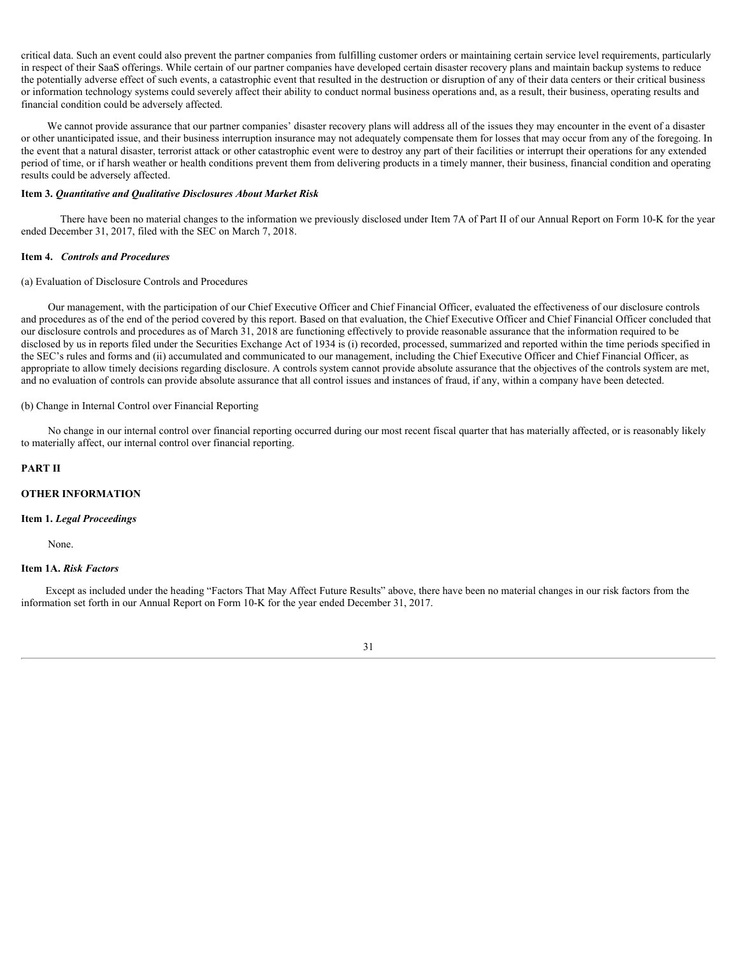critical data. Such an event could also prevent the partner companies from fulfilling customer orders or maintaining certain service level requirements, particularly in respect of their SaaS offerings. While certain of our partner companies have developed certain disaster recovery plans and maintain backup systems to reduce the potentially adverse effect of such events, a catastrophic event that resulted in the destruction or disruption of any of their data centers or their critical business or information technology systems could severely affect their ability to conduct normal business operations and, as a result, their business, operating results and financial condition could be adversely affected.

We cannot provide assurance that our partner companies' disaster recovery plans will address all of the issues they may encounter in the event of a disaster or other unanticipated issue, and their business interruption insurance may not adequately compensate them for losses that may occur from any of the foregoing. In the event that a natural disaster, terrorist attack or other catastrophic event were to destroy any part of their facilities or interrupt their operations for any extended period of time, or if harsh weather or health conditions prevent them from delivering products in a timely manner, their business, financial condition and operating results could be adversely affected.

### <span id="page-30-0"></span>**Item 3.** *Quantitative and Qualitative Disclosures About Market Risk*

There have been no material changes to the information we previously disclosed under Item 7A of Part II of our Annual Report on Form 10-K for the year ended December 31, 2017, filed with the SEC on March 7, 2018.

### <span id="page-30-1"></span>**Item 4.** *Controls and Procedures*

### (a) Evaluation of Disclosure Controls and Procedures

Our management, with the participation of our Chief Executive Officer and Chief Financial Officer, evaluated the effectiveness of our disclosure controls and procedures as of the end of the period covered by this report. Based on that evaluation, the Chief Executive Officer and Chief Financial Officer concluded that our disclosure controls and procedures as of March 31, 2018 are functioning effectively to provide reasonable assurance that the information required to be disclosed by us in reports filed under the Securities Exchange Act of 1934 is (i) recorded, processed, summarized and reported within the time periods specified in the SEC's rules and forms and (ii) accumulated and communicated to our management, including the Chief Executive Officer and Chief Financial Officer, as appropriate to allow timely decisions regarding disclosure. A controls system cannot provide absolute assurance that the objectives of the controls system are met, and no evaluation of controls can provide absolute assurance that all control issues and instances of fraud, if any, within a company have been detected.

# (b) Change in Internal Control over Financial Reporting

No change in our internal control over financial reporting occurred during our most recent fiscal quarter that has materially affected, or is reasonably likely to materially affect, our internal control over financial reporting.

### <span id="page-30-2"></span>**PART II**

## **OTHER INFORMATION**

### **Item 1.** *Legal Proceedings*

None.

### <span id="page-30-3"></span>**Item 1A.** *Risk Factors*

Except as included under the heading "Factors That May Affect Future Results" above, there have been no material changes in our risk factors from the information set forth in our Annual Report on Form 10-K for the year ended December 31, 2017.

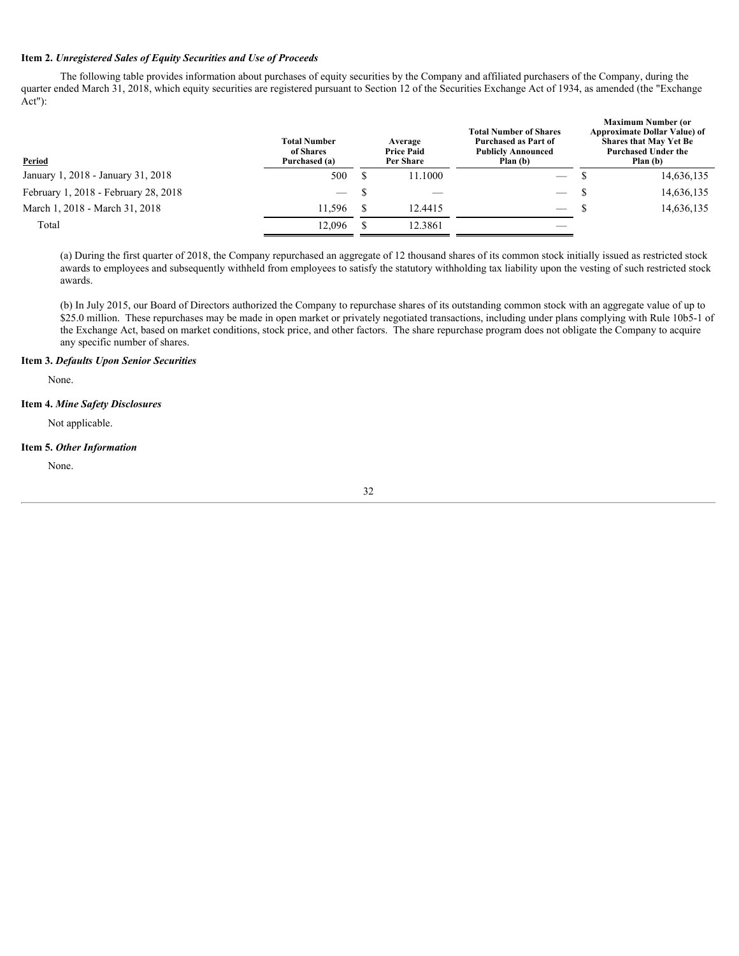# <span id="page-31-0"></span>**Item 2.** *Unregistered Sales of Equity Securities and Use of Proceeds*

The following table provides information about purchases of equity securities by the Company and affiliated purchasers of the Company, during the quarter ended March 31, 2018, which equity securities are registered pursuant to Section 12 of the Securities Exchange Act of 1934, as amended (the "Exchange Act"):

| Period                               | <b>Total Number</b><br>of Shares<br>Purchased (a) | Average<br><b>Price Paid</b><br>Per Share | <b>Total Number of Shares</b><br>Purchased as Part of<br><b>Publicly Announced</b><br>Plan (b) |  | <b>Maximum Number (or</b><br><b>Approximate Dollar Value) of</b><br><b>Shares that May Yet Be</b><br><b>Purchased Under the</b><br>Plan (b) |  |
|--------------------------------------|---------------------------------------------------|-------------------------------------------|------------------------------------------------------------------------------------------------|--|---------------------------------------------------------------------------------------------------------------------------------------------|--|
| January 1, 2018 - January 31, 2018   | 500                                               | 11.1000                                   | $\hspace{0.1mm}-\hspace{0.1mm}$                                                                |  | 14,636,135                                                                                                                                  |  |
| February 1, 2018 - February 28, 2018 | $\hspace{0.05cm}$                                 | $\hspace{0.1mm}-\hspace{0.1mm}$           | $\hspace{0.05cm}$                                                                              |  | 14,636,135                                                                                                                                  |  |
| March 1, 2018 - March 31, 2018       | 11,596                                            | 12.4415                                   | $\overline{\phantom{m}}$                                                                       |  | 14,636,135                                                                                                                                  |  |
| Total                                | 12,096                                            | 12.3861                                   |                                                                                                |  |                                                                                                                                             |  |
|                                      |                                                   |                                           |                                                                                                |  |                                                                                                                                             |  |

(a) During the first quarter of 2018, the Company repurchased an aggregate of 12 thousand shares of its common stock initially issued as restricted stock awards to employees and subsequently withheld from employees to satisfy the statutory withholding tax liability upon the vesting of such restricted stock awards.

(b) In July 2015, our Board of Directors authorized the Company to repurchase shares of its outstanding common stock with an aggregate value of up to \$25.0 million. These repurchases may be made in open market or privately negotiated transactions, including under plans complying with Rule 10b5-1 of the Exchange Act, based on market conditions, stock price, and other factors. The share repurchase program does not obligate the Company to acquire any specific number of shares.

### <span id="page-31-1"></span>**Item 3.** *Defaults Upon Senior Securities*

None.

# <span id="page-31-2"></span>**Item 4.** *Mine Safety Disclosures*

Not applicable.

### <span id="page-31-3"></span>**Item 5.** *Other Information*

None.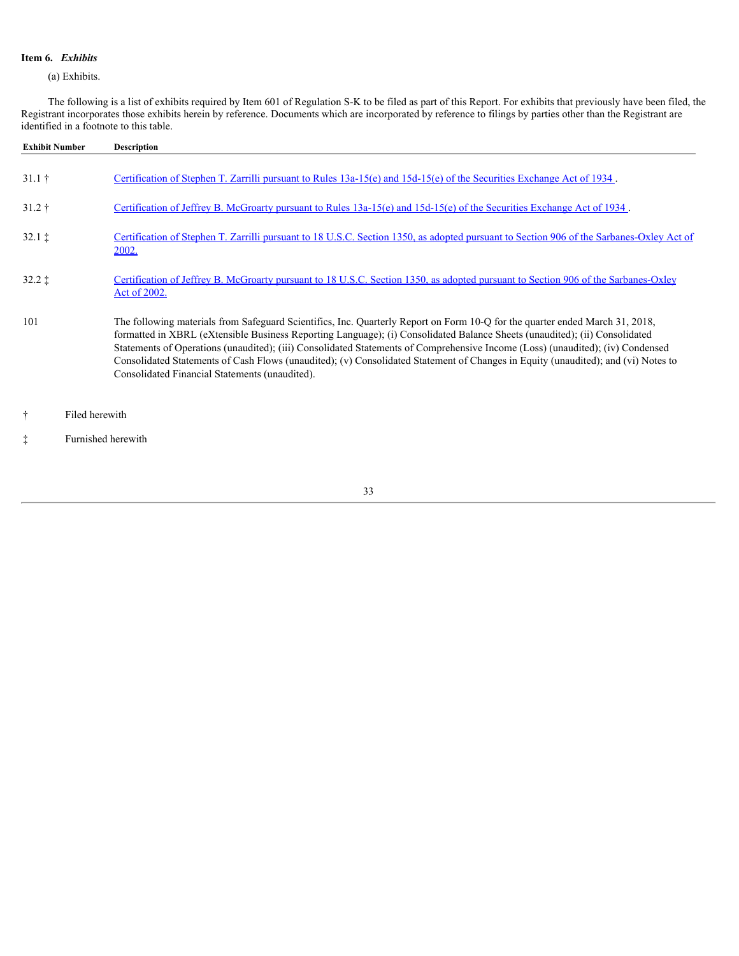# <span id="page-32-0"></span>**Item 6.** *Exhibits*

(a) Exhibits.

The following is a list of exhibits required by Item 601 of Regulation S-K to be filed as part of this Report. For exhibits that previously have been filed, the Registrant incorporates those exhibits herein by reference. Documents which are incorporated by reference to filings by parties other than the Registrant are identified in a footnote to this table.

| <b>Exhibit Number</b>   | <b>Description</b>                                                                                                                                                                                                                                                                                                                                                                                                                                                                                                                                                                  |
|-------------------------|-------------------------------------------------------------------------------------------------------------------------------------------------------------------------------------------------------------------------------------------------------------------------------------------------------------------------------------------------------------------------------------------------------------------------------------------------------------------------------------------------------------------------------------------------------------------------------------|
| $31.1 \;{\dagger}$      | Certification of Stephen T. Zarrilli pursuant to Rules $13a-15(e)$ and $15d-15(e)$ of the Securities Exchange Act of 1934.                                                                                                                                                                                                                                                                                                                                                                                                                                                          |
| $31.2 \;{\rm \ddagger}$ | Certification of Jeffrey B. McGroarty pursuant to Rules 13a-15(e) and 15d-15(e) of the Securities Exchange Act of 1934.                                                                                                                                                                                                                                                                                                                                                                                                                                                             |
| $32.1 \;$ $\ddagger$    | Certification of Stephen T. Zarrilli pursuant to 18 U.S.C. Section 1350, as adopted pursuant to Section 906 of the Sarbanes-Oxley Act of<br>2002.                                                                                                                                                                                                                                                                                                                                                                                                                                   |
| $32.2 \;$ $\ddagger$    | Certification of Jeffrey B. McGroarty pursuant to 18 U.S.C. Section 1350, as adopted pursuant to Section 906 of the Sarbanes-Oxley<br>Act of 2002.                                                                                                                                                                                                                                                                                                                                                                                                                                  |
| 101                     | The following materials from Safeguard Scientifics, Inc. Quarterly Report on Form 10-Q for the quarter ended March 31, 2018,<br>formatted in XBRL (eXtensible Business Reporting Language); (i) Consolidated Balance Sheets (unaudited); (ii) Consolidated<br>Statements of Operations (unaudited); (iii) Consolidated Statements of Comprehensive Income (Loss) (unaudited); (iv) Condensed<br>Consolidated Statements of Cash Flows (unaudited); (v) Consolidated Statement of Changes in Equity (unaudited); and (vi) Notes to<br>Consolidated Financial Statements (unaudited). |
| ÷.                      | Filed herewith                                                                                                                                                                                                                                                                                                                                                                                                                                                                                                                                                                      |

‡ Furnished herewith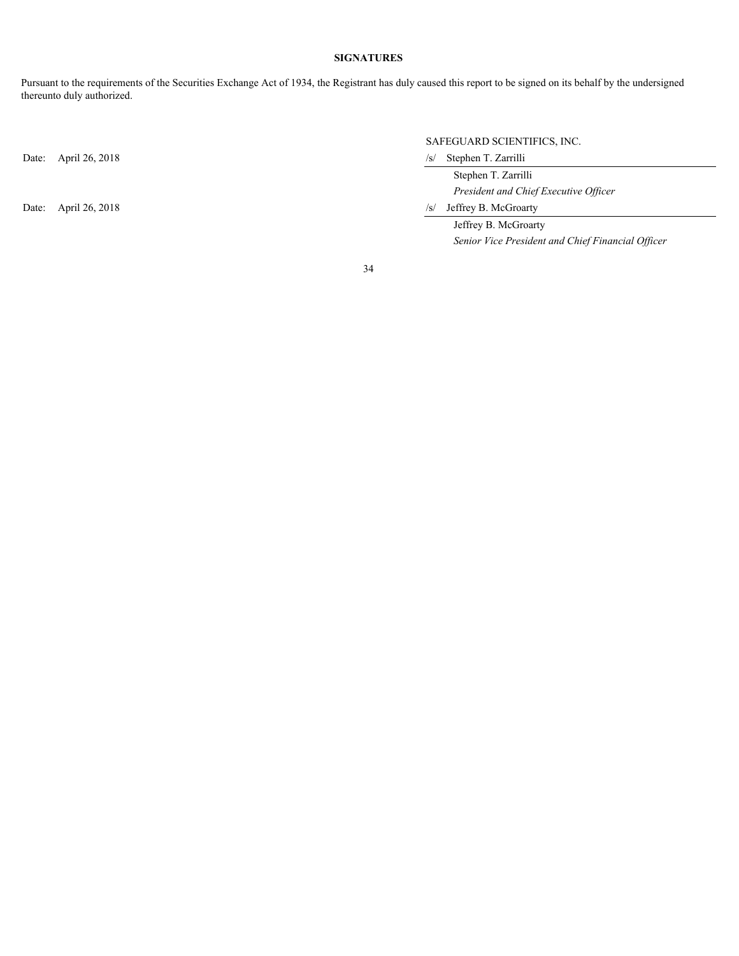# **SIGNATURES**

<span id="page-33-0"></span>Pursuant to the requirements of the Securities Exchange Act of 1934, the Registrant has duly caused this report to be signed on its behalf by the undersigned thereunto duly authorized.

Date: April 26, 2018 /s/ Stephen T. Zarrilli

# SAFEGUARD SCIENTIFICS, INC.

 Stephen T. Zarrilli *President and Chief Executive Officer*

Date: April 26, 2018 /s/ Jeffrey B. McGroarty

 Jeffrey B. McGroarty *Senior Vice President and Chief Financial Officer*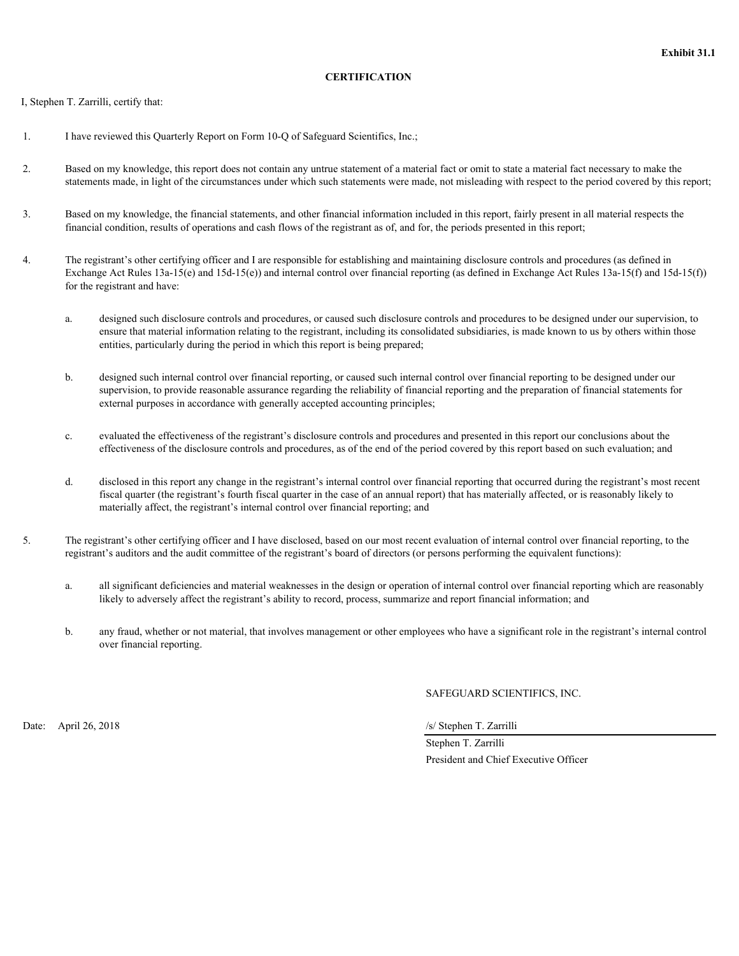# **CERTIFICATION**

<span id="page-34-0"></span>I, Stephen T. Zarrilli, certify that:

- 1. I have reviewed this Quarterly Report on Form 10-Q of Safeguard Scientifics, Inc.;
- 2. Based on my knowledge, this report does not contain any untrue statement of a material fact or omit to state a material fact necessary to make the statements made, in light of the circumstances under which such statements were made, not misleading with respect to the period covered by this report;
- 3. Based on my knowledge, the financial statements, and other financial information included in this report, fairly present in all material respects the financial condition, results of operations and cash flows of the registrant as of, and for, the periods presented in this report;
- 4. The registrant's other certifying officer and I are responsible for establishing and maintaining disclosure controls and procedures (as defined in Exchange Act Rules  $13a-15(e)$  and  $15d-15(e)$ ) and internal control over financial reporting (as defined in Exchange Act Rules  $13a-15(f)$ ) and  $15d-15(f)$ ) for the registrant and have:
	- a. designed such disclosure controls and procedures, or caused such disclosure controls and procedures to be designed under our supervision, to ensure that material information relating to the registrant, including its consolidated subsidiaries, is made known to us by others within those entities, particularly during the period in which this report is being prepared;
	- b. designed such internal control over financial reporting, or caused such internal control over financial reporting to be designed under our supervision, to provide reasonable assurance regarding the reliability of financial reporting and the preparation of financial statements for external purposes in accordance with generally accepted accounting principles;
	- c. evaluated the effectiveness of the registrant's disclosure controls and procedures and presented in this report our conclusions about the effectiveness of the disclosure controls and procedures, as of the end of the period covered by this report based on such evaluation; and
	- d. disclosed in this report any change in the registrant's internal control over financial reporting that occurred during the registrant's most recent fiscal quarter (the registrant's fourth fiscal quarter in the case of an annual report) that has materially affected, or is reasonably likely to materially affect, the registrant's internal control over financial reporting; and
- 5. The registrant's other certifying officer and I have disclosed, based on our most recent evaluation of internal control over financial reporting, to the registrant's auditors and the audit committee of the registrant's board of directors (or persons performing the equivalent functions):
	- a. all significant deficiencies and material weaknesses in the design or operation of internal control over financial reporting which are reasonably likely to adversely affect the registrant's ability to record, process, summarize and report financial information; and
	- b. any fraud, whether or not material, that involves management or other employees who have a significant role in the registrant's internal control over financial reporting.

SAFEGUARD SCIENTIFICS, INC.

Date: April 26, 2018 /s/ Stephen T. Zarrilli

 Stephen T. Zarrilli President and Chief Executive Officer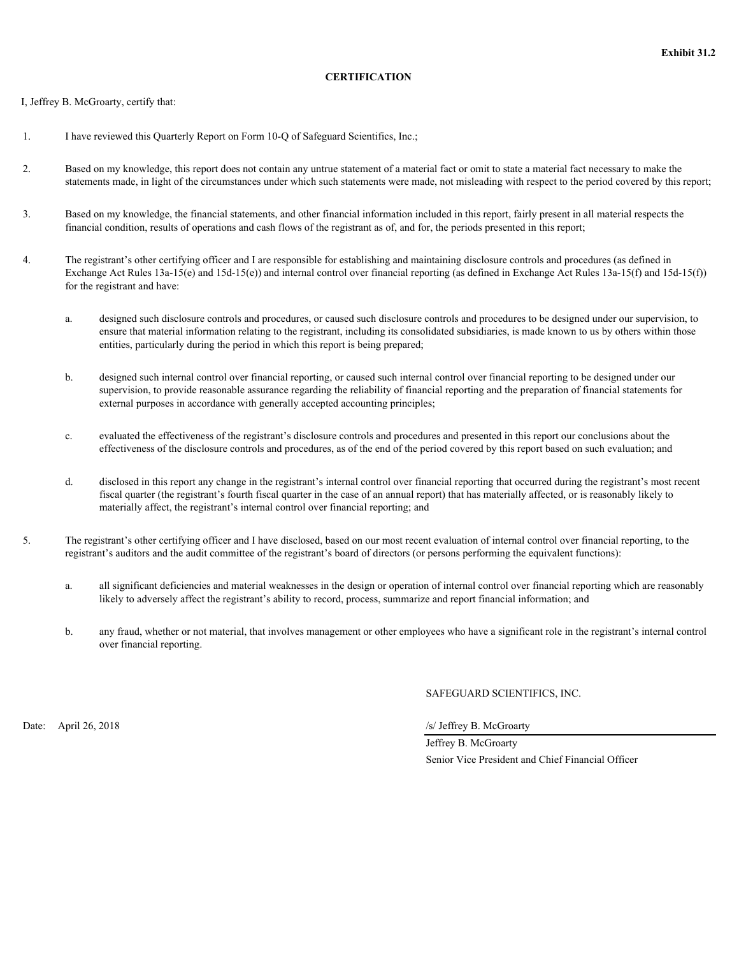# **CERTIFICATION**

<span id="page-35-0"></span>I, Jeffrey B. McGroarty, certify that:

- 1. I have reviewed this Quarterly Report on Form 10-Q of Safeguard Scientifics, Inc.;
- 2. Based on my knowledge, this report does not contain any untrue statement of a material fact or omit to state a material fact necessary to make the statements made, in light of the circumstances under which such statements were made, not misleading with respect to the period covered by this report;
- 3. Based on my knowledge, the financial statements, and other financial information included in this report, fairly present in all material respects the financial condition, results of operations and cash flows of the registrant as of, and for, the periods presented in this report;
- 4. The registrant's other certifying officer and I are responsible for establishing and maintaining disclosure controls and procedures (as defined in Exchange Act Rules  $13a-15(e)$  and  $15d-15(e)$ ) and internal control over financial reporting (as defined in Exchange Act Rules  $13a-15(f)$ ) and  $15d-15(f)$ ) for the registrant and have:
	- a. designed such disclosure controls and procedures, or caused such disclosure controls and procedures to be designed under our supervision, to ensure that material information relating to the registrant, including its consolidated subsidiaries, is made known to us by others within those entities, particularly during the period in which this report is being prepared;
	- b. designed such internal control over financial reporting, or caused such internal control over financial reporting to be designed under our supervision, to provide reasonable assurance regarding the reliability of financial reporting and the preparation of financial statements for external purposes in accordance with generally accepted accounting principles;
	- c. evaluated the effectiveness of the registrant's disclosure controls and procedures and presented in this report our conclusions about the effectiveness of the disclosure controls and procedures, as of the end of the period covered by this report based on such evaluation; and
	- d. disclosed in this report any change in the registrant's internal control over financial reporting that occurred during the registrant's most recent fiscal quarter (the registrant's fourth fiscal quarter in the case of an annual report) that has materially affected, or is reasonably likely to materially affect, the registrant's internal control over financial reporting; and
- 5. The registrant's other certifying officer and I have disclosed, based on our most recent evaluation of internal control over financial reporting, to the registrant's auditors and the audit committee of the registrant's board of directors (or persons performing the equivalent functions):
	- a. all significant deficiencies and material weaknesses in the design or operation of internal control over financial reporting which are reasonably likely to adversely affect the registrant's ability to record, process, summarize and report financial information; and
	- b. any fraud, whether or not material, that involves management or other employees who have a significant role in the registrant's internal control over financial reporting.

SAFEGUARD SCIENTIFICS, INC.

Date: April 26, 2018 /s/ Jeffrey B. McGroarty

 Jeffrey B. McGroarty Senior Vice President and Chief Financial Officer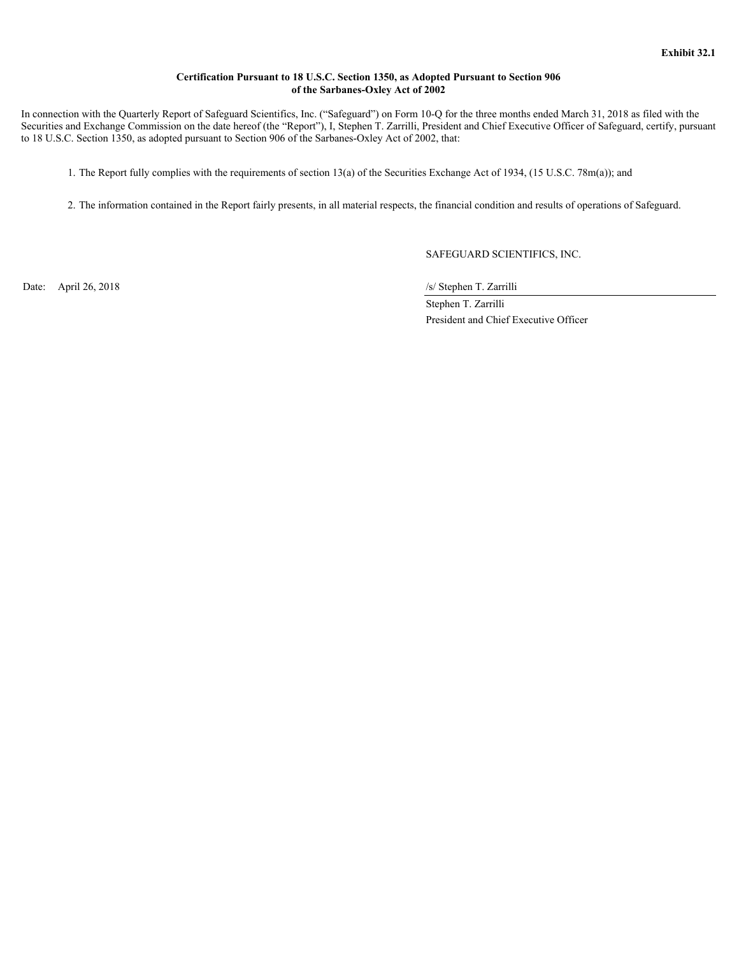# **Certification Pursuant to 18 U.S.C. Section 1350, as Adopted Pursuant to Section 906 of the Sarbanes-Oxley Act of 2002**

<span id="page-36-0"></span> In connection with the Quarterly Report of Safeguard Scientifics, Inc. ("Safeguard") on Form 10-Q for the three months ended March 31, 2018 as filed with the Securities and Exchange Commission on the date hereof (the "Report"), I, Stephen T. Zarrilli, President and Chief Executive Officer of Safeguard, certify, pursuant to 18 U.S.C. Section 1350, as adopted pursuant to Section 906 of the Sarbanes-Oxley Act of 2002, that:

1. The Report fully complies with the requirements of section 13(a) of the Securities Exchange Act of 1934, (15 U.S.C. 78m(a)); and

2. The information contained in the Report fairly presents, in all material respects, the financial condition and results of operations of Safeguard.

SAFEGUARD SCIENTIFICS, INC.

Date: April 26, 2018 /s/ Stephen T. Zarrilli

 Stephen T. Zarrilli President and Chief Executive Officer